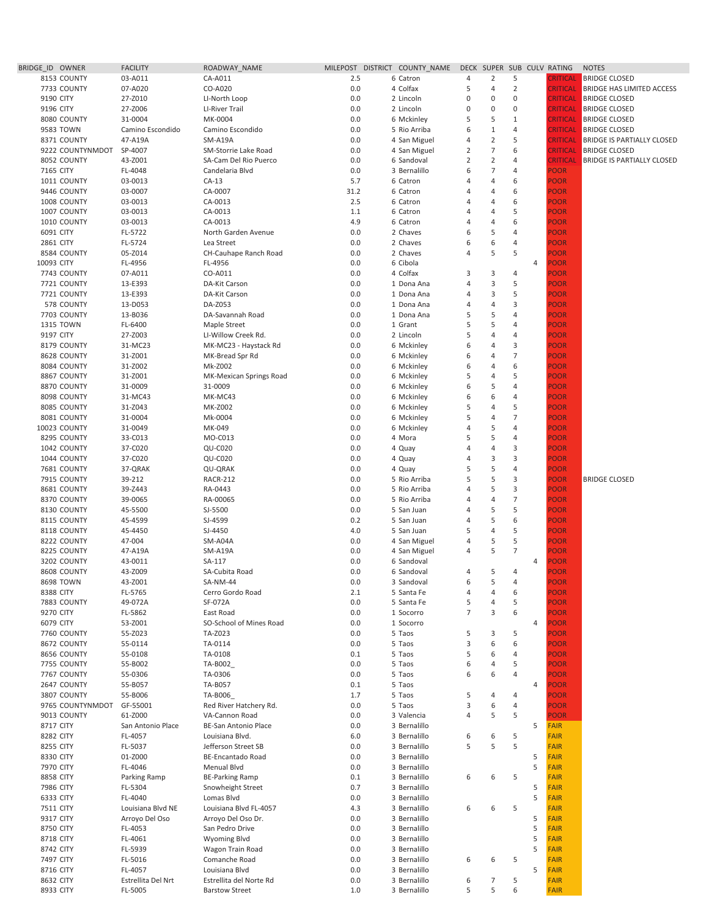| BRIDGE ID OWNER  | <b>FACILITY</b>    | ROADWAY NAME            |      | MILEPOST DISTRICT COUNTY NAME |                |                |                |                | DECK SUPER SUB CULV RATING | <b>NOTES</b>                      |
|------------------|--------------------|-------------------------|------|-------------------------------|----------------|----------------|----------------|----------------|----------------------------|-----------------------------------|
|                  |                    |                         |      |                               |                |                |                |                |                            |                                   |
| 8153 COUNTY      | 03-A011            | CA-A011                 | 2.5  | 6 Catron                      | 4              | $\overline{2}$ | 5              |                | <b>CRITICAL</b>            | <b>BRIDGE CLOSED</b>              |
| 7733 COUNTY      | 07-A020            | CO-A020                 | 0.0  | 4 Colfax                      | 5              | $\overline{4}$ | $\overline{2}$ |                | <b>CRITICAL</b>            | <b>BRIDGE HAS LIMITED ACCESS</b>  |
| 9190 CITY        | 27-Z010            | LI-North Loop           | 0.0  | 2 Lincoln                     | 0              | 0              | 0              |                | <b>CRITICAL</b>            | <b>BRIDGE CLOSED</b>              |
| 9196 CITY        | 27-Z006            | LI-River Trail          | 0.0  | 2 Lincoln                     | 0              | 0              | 0              |                | <b>CRITICAL</b>            | <b>BRIDGE CLOSED</b>              |
| 8080 COUNTY      | 31-0004            | MK-0004                 | 0.0  | 6 Mckinley                    | 5              | 5              | $\mathbf{1}$   |                | <b>CRITICAL</b>            | <b>BRIDGE CLOSED</b>              |
|                  |                    |                         | 0.0  |                               | 6              | $1\,$          | 4              |                | <b>CRITICAL</b>            |                                   |
| 9583 TOWN        | Camino Escondido   | Camino Escondido        |      | 5 Rio Arriba                  |                |                |                |                |                            | <b>BRIDGE CLOSED</b>              |
| 8371 COUNTY      | 47-A19A            | SM-A19A                 | 0.0  | 4 San Miguel                  | 4              | $\overline{2}$ | 5              |                | <b>CRITICAL</b>            | <b>BRIDGE IS PARTIALLY CLOSED</b> |
| 9222 COUNTYNMDOT | SP-4007            | SM-Storrie Lake Road    | 0.0  | 4 San Miguel                  | $\overline{2}$ | $\overline{7}$ | 6              |                | <b>CRITICAL</b>            | <b>BRIDGE CLOSED</b>              |
| 8052 COUNTY      | 43-Z001            | SA-Cam Del Rio Puerco   | 0.0  | 6 Sandoval                    | $\overline{2}$ | $\overline{2}$ | $\overline{4}$ |                | <b>CRITICAL</b>            | <b>BRIDGE IS PARTIALLY CLOSED</b> |
| 7165 CITY        | FL-4048            | Candelaria Blvd         | 0.0  | 3 Bernalillo                  | 6              | $\overline{7}$ | 4              |                | <b>POOR</b>                |                                   |
| 1011 COUNTY      | 03-0013            | $CA-13$                 | 5.7  | 6 Catron                      | 4              | 4              | 6              |                | <b>POOR</b>                |                                   |
|                  |                    |                         |      |                               |                |                |                |                |                            |                                   |
| 9446 COUNTY      | 03-0007            | CA-0007                 | 31.2 | 6 Catron                      | 4              | 4              | 6              |                | <b>POOR</b>                |                                   |
| 1008 COUNTY      | 03-0013            | CA-0013                 | 2.5  | 6 Catron                      | 4              | $\overline{4}$ | 6              |                | <b>POOR</b>                |                                   |
| 1007 COUNTY      | 03-0013            | CA-0013                 | 1.1  | 6 Catron                      | $\overline{4}$ | 4              | 5              |                | <b>POOR</b>                |                                   |
| 1010 COUNTY      | 03-0013            | CA-0013                 | 4.9  | 6 Catron                      | $\overline{4}$ | 4              | 6              |                | <b>POOR</b>                |                                   |
| 6091 CITY        | FL-5722            | North Garden Avenue     | 0.0  | 2 Chaves                      | 6              | 5              | $\overline{4}$ |                | <b>POOR</b>                |                                   |
| 2861 CITY        | FL-5724            | Lea Street              | 0.0  | 2 Chaves                      | 6              | 6              | 4              |                | <b>POOR</b>                |                                   |
|                  |                    |                         |      |                               |                |                |                |                |                            |                                   |
| 8584 COUNTY      | 05-Z014            | CH-Cauhape Ranch Road   | 0.0  | 2 Chaves                      | $\overline{4}$ | 5              | 5              |                | <b>POOR</b>                |                                   |
| 10093 CITY       | FL-4956            | FL-4956                 | 0.0  | 6 Cibola                      |                |                |                | 4              | <b>POOR</b>                |                                   |
| 7743 COUNTY      | 07-A011            | CO-A011                 | 0.0  | 4 Colfax                      | 3              | 3              | $\overline{4}$ |                | <b>POOR</b>                |                                   |
| 7721 COUNTY      | 13-E393            | DA-Kit Carson           | 0.0  | 1 Dona Ana                    | 4              | 3              | 5              |                | <b>POOR</b>                |                                   |
| 7721 COUNTY      | 13-E393            | DA-Kit Carson           | 0.0  | 1 Dona Ana                    | 4              | 3              | 5              |                | <b>POOR</b>                |                                   |
| 578 COUNTY       | 13-D053            | DA-Z053                 | 0.0  | 1 Dona Ana                    | 4              | $\overline{4}$ | 3              |                | <b>POOR</b>                |                                   |
|                  |                    |                         |      |                               |                |                |                |                |                            |                                   |
| 7703 COUNTY      | 13-B036            | DA-Savannah Road        | 0.0  | 1 Dona Ana                    | 5              | 5              | $\overline{4}$ |                | <b>POOR</b>                |                                   |
| <b>1315 TOWN</b> | FL-6400            | Maple Street            | 0.0  | 1 Grant                       | 5              | 5              | $\overline{4}$ |                | <b>POOR</b>                |                                   |
| 9197 CITY        | 27-Z003            | LI-Willow Creek Rd.     | 0.0  | 2 Lincoln                     | 5              | $\overline{4}$ | 4              |                | <b>POOR</b>                |                                   |
| 8179 COUNTY      | 31-MC23            | MK-MC23 - Haystack Rd   | 0.0  | 6 Mckinley                    | 6              | $\overline{4}$ | 3              |                | <b>POOR</b>                |                                   |
| 8628 COUNTY      | 31-Z001            | MK-Bread Spr Rd         | 0.0  | 6 Mckinley                    | 6              | 4              | $\overline{7}$ |                | <b>POOR</b>                |                                   |
| 8084 COUNTY      | 31-Z002            | Mk-Z002                 | 0.0  | 6 Mckinley                    | 6              | $\overline{4}$ | 6              |                | <b>POOR</b>                |                                   |
|                  |                    |                         |      |                               |                |                |                |                |                            |                                   |
| 8867 COUNTY      | 31-Z001            | MK-Mexican Springs Road | 0.0  | 6 Mckinley                    | 5              | $\overline{4}$ | 5              |                | <b>POOR</b>                |                                   |
| 8870 COUNTY      | 31-0009            | 31-0009                 | 0.0  | 6 Mckinley                    | 6              | 5              | $\overline{4}$ |                | <b>POOR</b>                |                                   |
| 8098 COUNTY      | 31-MC43            | MK-MC43                 | 0.0  | 6 Mckinley                    | 6              | 6              | 4              |                | <b>POOR</b>                |                                   |
| 8085 COUNTY      | 31-Z043            | MK-Z002                 | 0.0  | 6 Mckinley                    | 5              | $\overline{4}$ | 5              |                | <b>POOR</b>                |                                   |
| 8081 COUNTY      | 31-0004            | Mk-0004                 | 0.0  | 6 Mckinley                    | 5              | $\overline{4}$ | $\overline{7}$ |                | <b>POOR</b>                |                                   |
|                  |                    |                         |      |                               |                |                |                |                |                            |                                   |
| 10023 COUNTY     | 31-0049            | MK-049                  | 0.0  | 6 Mckinley                    | 4              | 5              | $\overline{4}$ |                | <b>POOR</b>                |                                   |
| 8295 COUNTY      | 33-C013            | MO-C013                 | 0.0  | 4 Mora                        | 5              | 5              | 4              |                | <b>POOR</b>                |                                   |
| 1042 COUNTY      | 37-C020            | <b>QU-C020</b>          | 0.0  | 4 Quay                        | 4              | $\overline{4}$ | 3              |                | <b>POOR</b>                |                                   |
| 1044 COUNTY      | 37-C020            | <b>QU-C020</b>          | 0.0  | 4 Quay                        | $\overline{4}$ | 3              | 3              |                | <b>POOR</b>                |                                   |
| 7681 COUNTY      | 37-QRAK            | <b>QU-QRAK</b>          | 0.0  | 4 Quay                        | 5              | 5              | 4              |                | <b>POOR</b>                |                                   |
|                  |                    |                         | 0.0  |                               | 5              | 5              | 3              |                |                            | <b>BRIDGE CLOSED</b>              |
| 7915 COUNTY      | 39-212             | <b>RACR-212</b>         |      | 5 Rio Arriba                  |                |                |                |                | <b>POOR</b>                |                                   |
| 8681 COUNTY      | 39-Z443            | RA-0443                 | 0.0  | 5 Rio Arriba                  | 4              | 5              | 3              |                | <b>POOR</b>                |                                   |
| 8370 COUNTY      | 39-0065            | RA-00065                | 0.0  | 5 Rio Arriba                  | 4              | $\overline{4}$ | $\overline{7}$ |                | <b>POOR</b>                |                                   |
| 8130 COUNTY      | 45-5500            | SJ-5500                 | 0.0  | 5 San Juan                    | $\overline{4}$ | 5              | 5              |                | <b>POOR</b>                |                                   |
| 8115 COUNTY      | 45-4599            | SJ-4599                 | 0.2  | 5 San Juan                    | $\overline{4}$ | 5              | 6              |                | <b>POOR</b>                |                                   |
| 8118 COUNTY      | 45-4450            | SJ-4450                 | 4.0  | 5 San Juan                    | 5              | $\overline{4}$ | 5              |                | <b>POOR</b>                |                                   |
|                  |                    |                         |      |                               |                |                |                |                |                            |                                   |
| 8222 COUNTY      | 47-004             | SM-A04A                 | 0.0  | 4 San Miguel                  | 4              | 5              | 5              |                | <b>POOR</b>                |                                   |
| 8225 COUNTY      | 47-A19A            | SM-A19A                 | 0.0  | 4 San Miguel                  | 4              | 5              | $\overline{7}$ |                | <b>POOR</b>                |                                   |
| 3202 COUNTY      | 43-0011            | SA-117                  | 0.0  | 6 Sandoval                    |                |                |                | 4              | <b>POOR</b>                |                                   |
| 8608 COUNTY      | 43-Z009            | SA-Cubita Road          | 0.0  | 6 Sandoval                    | 4              | 5              | $\overline{4}$ |                | <b>POOR</b>                |                                   |
| 8698 TOWN        | 43-Z001            | SA-NM-44                | 0.0  | 3 Sandoval                    | 6              | 5              | 4              |                | <b>POOR</b>                |                                   |
| 8388 CITY        | FL-5765            | Cerro Gordo Road        | 2.1  | 5 Santa Fe                    | 4              | $\overline{4}$ | 6              |                | <b>POOR</b>                |                                   |
|                  |                    |                         |      |                               |                |                |                |                |                            |                                   |
| 7883 COUNTY      | 49-072A            | SF-072A                 | 0.0  | 5 Santa Fe                    | 5              | 4              | 5              |                | <b>POOR</b>                |                                   |
| 9270 CITY        | FL-5862            | East Road               | 0.0  | 1 Socorro                     | $\overline{7}$ | 3              | 6              |                | <b>POOR</b>                |                                   |
| 6079 CITY        | 53-Z001            | SO-School of Mines Road | 0.0  | 1 Socorro                     |                |                |                | 4              | <b>POOR</b>                |                                   |
| 7760 COUNTY      | 55-Z023            | TA-Z023                 | 0.0  | 5 Taos                        | 5              | 3              | 5              |                | <b>POOR</b>                |                                   |
| 8672 COUNTY      | 55-0114            | TA-0114                 | 0.0  | 5 Taos                        | 3              | 6              | 6              |                | <b>POOR</b>                |                                   |
| 8656 COUNTY      | 55-0108            | TA-0108                 | 0.1  | 5 Taos                        | 5              | 6              | 4              |                | <b>POOR</b>                |                                   |
|                  |                    |                         |      |                               |                |                |                |                |                            |                                   |
| 7755 COUNTY      | 55-B002            | TA-B002_                | 0.0  | 5 Taos                        | 6              | $\overline{4}$ | 5              |                | <b>POOR</b>                |                                   |
| 7767 COUNTY      | 55-0306            | TA-0306                 | 0.0  | 5 Taos                        | 6              | 6              | $\overline{4}$ |                | <b>POOR</b>                |                                   |
| 2647 COUNTY      | 55-B057            | <b>TA-B057</b>          | 0.1  | 5 Taos                        |                |                |                | $\overline{4}$ | <b>POOR</b>                |                                   |
| 3807 COUNTY      | 55-B006            | TA-B006                 | 1.7  | 5 Taos                        | 5              | 4              | 4              |                | <b>POOR</b>                |                                   |
| 9765 COUNTYNMDOT | GF-55001           | Red River Hatchery Rd.  | 0.0  | 5 Taos                        | 3              | 6              | 4              |                | <b>POOR</b>                |                                   |
| 9013 COUNTY      | 61-Z000            | VA-Cannon Road          | 0.0  | 3 Valencia                    | $\overline{4}$ | 5              | 5              |                | <b>POOR</b>                |                                   |
|                  |                    |                         |      |                               |                |                |                |                |                            |                                   |
| 8717 CITY        | San Antonio Place  | BE-San Antonio Place    | 0.0  | 3 Bernalillo                  |                |                |                | 5              | <b>FAIR</b>                |                                   |
| 8282 CITY        | FL-4057            | Louisiana Blvd.         | 6.0  | 3 Bernalillo                  | 6              | 6              | 5              |                | <b>FAIR</b>                |                                   |
| 8255 CITY        | FL-5037            | Jefferson Street SB     | 0.0  | 3 Bernalillo                  | 5              | 5              | 5              |                | <b>FAIR</b>                |                                   |
| 8330 CITY        | 01-Z000            | BE-Encantado Road       | 0.0  | 3 Bernalillo                  |                |                |                | 5              | <b>FAIR</b>                |                                   |
| 7970 CITY        | FL-4046            | Menual Blvd             | 0.0  | 3 Bernalillo                  |                |                |                | 5              | <b>FAIR</b>                |                                   |
| 8858 CITY        |                    | <b>BE-Parking Ramp</b>  | 0.1  | 3 Bernalillo                  | 6              | 6              | 5              |                | <b>FAIR</b>                |                                   |
|                  | Parking Ramp       |                         |      |                               |                |                |                |                |                            |                                   |
| 7986 CITY        | FL-5304            | Snowheight Street       | 0.7  | 3 Bernalillo                  |                |                |                | 5              | <b>FAIR</b>                |                                   |
| 6333 CITY        | FL-4040            | Lomas Blvd              | 0.0  | 3 Bernalillo                  |                |                |                | 5              | <b>FAIR</b>                |                                   |
| 7511 CITY        | Louisiana Blvd NE  | Louisiana Blvd FL-4057  | 4.3  | 3 Bernalillo                  | 6              | 6              | 5              |                | <b>FAIR</b>                |                                   |
| 9317 CITY        | Arroyo Del Oso     | Arroyo Del Oso Dr.      | 0.0  | 3 Bernalillo                  |                |                |                | 5              | <b>FAIR</b>                |                                   |
| 8750 CITY        | FL-4053            | San Pedro Drive         | 0.0  | 3 Bernalillo                  |                |                |                | 5              | <b>FAIR</b>                |                                   |
|                  |                    |                         |      |                               |                |                |                |                |                            |                                   |
| 8718 CITY        | FL-4061            | <b>Wyoming Blvd</b>     | 0.0  | 3 Bernalillo                  |                |                |                | 5              | <b>FAIR</b>                |                                   |
| 8742 CITY        | FL-5939            | Wagon Train Road        | 0.0  | 3 Bernalillo                  |                |                |                | 5              | <b>FAIR</b>                |                                   |
| 7497 CITY        | FL-5016            | Comanche Road           | 0.0  | 3 Bernalillo                  | 6              | 6              | 5              |                | <b>FAIR</b>                |                                   |
| 8716 CITY        | FL-4057            | Louisiana Blvd          | 0.0  | 3 Bernalillo                  |                |                |                | 5              | <b>FAIR</b>                |                                   |
| 8632 CITY        | Estrellita Del Nrt | Estrellita del Norte Rd | 0.0  | 3 Bernalillo                  | 6              | 7              | 5              |                | <b>FAIR</b>                |                                   |
|                  |                    |                         |      |                               |                |                |                |                |                            |                                   |
| 8933 CITY        | FL-5005            | <b>Barstow Street</b>   | 1.0  | 3 Bernalillo                  | 5              | 5              | 6              |                | <b>FAIR</b>                |                                   |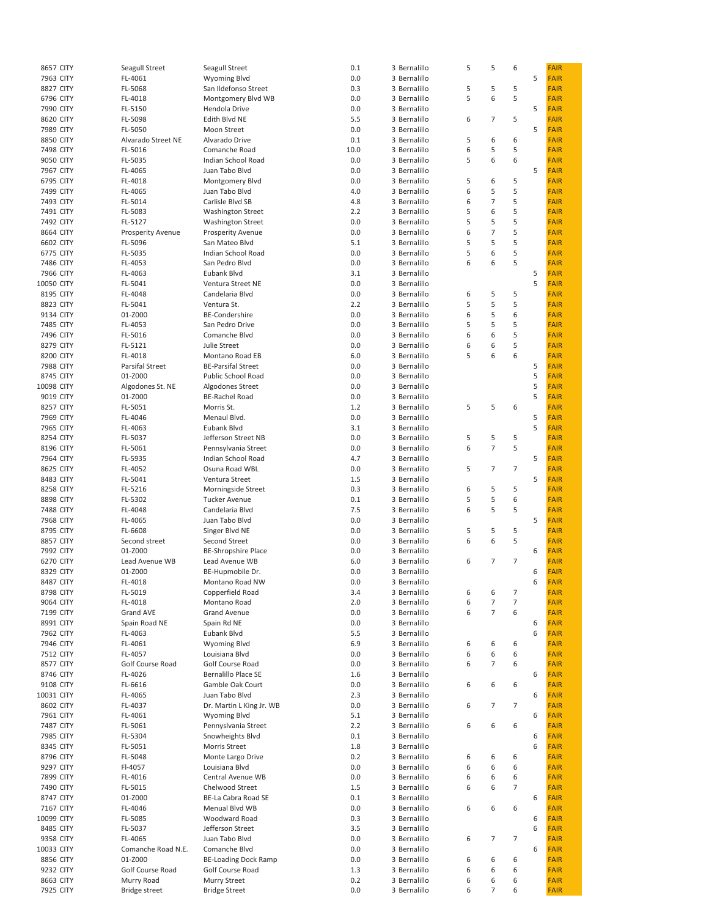| 8657 CITY        | Seagull Street           | Seagull Street              | 0.1  | 3 Bernalillo | 5 | 5              | 6              |   | <b>FAIR</b> |
|------------------|--------------------------|-----------------------------|------|--------------|---|----------------|----------------|---|-------------|
| 7963 CITY        | FL-4061                  | <b>Wyoming Blvd</b>         | 0.0  | 3 Bernalillo |   |                |                | 5 | <b>FAIR</b> |
| 8827 CITY        | FL-5068                  | San Ildefonso Street        | 0.3  | 3 Bernalillo | 5 | 5              | 5              |   | <b>FAIR</b> |
| 6796 CITY        | FL-4018                  | Montgomery Blvd WB          | 0.0  | 3 Bernalillo | 5 | 6              | 5              |   | <b>FAIR</b> |
|                  |                          |                             |      |              |   |                |                |   |             |
| 7990 CITY        | FL-5150                  | Hendola Drive               | 0.0  | 3 Bernalillo |   |                |                | 5 | <b>FAIR</b> |
| 8620 CITY        | FL-5098                  | Edith Blvd NE               | 5.5  | 3 Bernalillo | 6 | 7              | 5              |   | <b>FAIR</b> |
| 7989 CITY        | FL-5050                  | Moon Street                 | 0.0  | 3 Bernalillo |   |                |                | 5 | <b>FAIR</b> |
| 8850 CITY        | Alvarado Street NE       | Alvarado Drive              | 0.1  | 3 Bernalillo | 5 | 6              | 6              |   | <b>FAIR</b> |
| 7498 CITY        | FL-5016                  | Comanche Road               | 10.0 | 3 Bernalillo | 6 | 5              | 5              |   | <b>FAIR</b> |
| <b>9050 CITY</b> | FL-5035                  | Indian School Road          | 0.0  | 3 Bernalillo | 5 | 6              | 6              |   | <b>FAIR</b> |
| 7967 CITY        | FL-4065                  | Juan Tabo Blvd              | 0.0  | 3 Bernalillo |   |                |                | 5 | <b>FAIR</b> |
|                  |                          |                             |      |              |   |                |                |   |             |
| 6795 CITY        | FL-4018                  | Montgomery Blvd             | 0.0  | 3 Bernalillo | 5 | 6              | 5              |   | <b>FAIR</b> |
| 7499 CITY        | FL-4065                  | Juan Tabo Blvd              | 4.0  | 3 Bernalillo | 6 | 5              | 5              |   | <b>FAIR</b> |
| 7493 CITY        | FL-5014                  | Carlisle Blvd SB            | 4.8  | 3 Bernalillo | 6 | $\overline{7}$ | 5              |   | <b>FAIR</b> |
| 7491 CITY        | FL-5083                  | <b>Washington Street</b>    | 2.2  | 3 Bernalillo | 5 | 6              | 5              |   | <b>FAIR</b> |
| 7492 CITY        | FL-5127                  | <b>Washington Street</b>    | 0.0  | 3 Bernalillo | 5 | 5              | 5              |   | <b>FAIR</b> |
| 8664 CITY        | <b>Prosperity Avenue</b> | Prosperity Avenue           | 0.0  | 3 Bernalillo | 6 | 7              | 5              |   | <b>FAIR</b> |
| 6602 CITY        | FL-5096                  | San Mateo Blvd              | 5.1  | 3 Bernalillo | 5 | 5              | 5              |   | <b>FAIR</b> |
| 6775 CITY        |                          | Indian School Road          | 0.0  | 3 Bernalillo | 5 | 6              | 5              |   | <b>FAIR</b> |
|                  | FL-5035                  |                             |      |              |   |                |                |   |             |
| 7486 CITY        | FL-4053                  | San Pedro Blvd              | 0.0  | 3 Bernalillo | 6 | 6              | 5              |   | <b>FAIR</b> |
| 7966 CITY        | FL-4063                  | Eubank Blvd                 | 3.1  | 3 Bernalillo |   |                |                | 5 | <b>FAIR</b> |
| 10050 CITY       | FL-5041                  | Ventura Street NE           | 0.0  | 3 Bernalillo |   |                |                | 5 | <b>FAIR</b> |
| 8195 CITY        | FL-4048                  | Candelaria Blvd             | 0.0  | 3 Bernalillo | 6 | 5              | 5              |   | <b>FAIR</b> |
| 8823 CITY        | FL-5041                  | Ventura St.                 | 2.2  | 3 Bernalillo | 5 | 5              | 5              |   | <b>FAIR</b> |
| 9134 CITY        | 01-Z000                  | <b>BE-Condershire</b>       | 0.0  | 3 Bernalillo | 6 | 5              | 6              |   | <b>FAIR</b> |
|                  |                          |                             |      |              |   |                |                |   |             |
| 7485 CITY        | FL-4053                  | San Pedro Drive             | 0.0  | 3 Bernalillo | 5 | 5              | 5              |   | <b>FAIR</b> |
| 7496 CITY        | FL-5016                  | Comanche Blvd               | 0.0  | 3 Bernalillo | 6 | 6              | 5              |   | <b>FAIR</b> |
| 8279 CITY        | FL-5121                  | Julie Street                | 0.0  | 3 Bernalillo | 6 | 6              | 5              |   | <b>FAIR</b> |
| 8200 CITY        | FL-4018                  | Montano Road EB             | 6.0  | 3 Bernalillo | 5 | 6              | 6              |   | <b>FAIR</b> |
| 7988 CITY        | Parsifal Street          | <b>BE-Parsifal Street</b>   | 0.0  | 3 Bernalillo |   |                |                | 5 | <b>FAIR</b> |
| 8745 CITY        | 01-Z000                  | Public School Road          | 0.0  | 3 Bernalillo |   |                |                | 5 | <b>FAIR</b> |
| 10098 CITY       | Algodones St. NE         | Algodones Street            | 0.0  | 3 Bernalillo |   |                |                | 5 | <b>FAIR</b> |
|                  |                          |                             |      |              |   |                |                |   |             |
| 9019 CITY        | 01-Z000                  | <b>BE-Rachel Road</b>       | 0.0  | 3 Bernalillo |   |                |                | 5 | <b>FAIR</b> |
| 8257 CITY        | FL-5051                  | Morris St.                  | 1.2  | 3 Bernalillo | 5 | 5              | 6              |   | <b>FAIR</b> |
| 7969 CITY        | FL-4046                  | Menaul Blvd.                | 0.0  | 3 Bernalillo |   |                |                | 5 | <b>FAIR</b> |
| 7965 CITY        | FL-4063                  | Eubank Blvd                 | 3.1  | 3 Bernalillo |   |                |                | 5 | <b>FAIR</b> |
| 8254 CITY        | FL-5037                  | Jefferson Street NB         | 0.0  | 3 Bernalillo | 5 | 5              | 5              |   | <b>FAIR</b> |
| 8196 CITY        | FL-5061                  | Pennsylvania Street         | 0.0  | 3 Bernalillo | 6 | 7              | 5              |   | <b>FAIR</b> |
|                  |                          | Indian School Road          | 4.7  | 3 Bernalillo |   |                |                | 5 | <b>FAIR</b> |
| 7964 CITY        | FL-5935                  |                             |      |              |   |                |                |   |             |
| 8625 CITY        | FL-4052                  | Osuna Road WBL              | 0.0  | 3 Bernalillo | 5 | 7              | $\overline{7}$ |   | <b>FAIR</b> |
| 8483 CITY        | FL-5041                  | Ventura Street              | 1.5  | 3 Bernalillo |   |                |                | 5 | <b>FAIR</b> |
| 8258 CITY        | FL-5216                  | Morningside Street          | 0.3  | 3 Bernalillo | 6 | 5              | 5              |   | <b>FAIR</b> |
| 8898 CITY        | FL-5302                  | <b>Tucker Avenue</b>        | 0.1  | 3 Bernalillo | 5 | 5              | 6              |   | <b>FAIR</b> |
| 7488 CITY        | FL-4048                  | Candelaria Blvd             | 7.5  | 3 Bernalillo | 6 | 5              | 5              |   | <b>FAIR</b> |
| 7968 CITY        | FL-4065                  | Juan Tabo Blvd              | 0.0  | 3 Bernalillo |   |                |                | 5 | <b>FAIR</b> |
| 8795 CITY        | FL-6608                  |                             | 0.0  | 3 Bernalillo | 5 | 5              | 5              |   | <b>FAIR</b> |
|                  |                          | Singer Blvd NE              |      |              |   |                |                |   |             |
| 8857 CITY        | Second street            | Second Street               | 0.0  | 3 Bernalillo | 6 | 6              | 5              |   | <b>FAIR</b> |
| 7992 CITY        | 01-Z000                  | <b>BE-Shropshire Place</b>  | 0.0  | 3 Bernalillo |   |                |                | 6 | <b>FAIR</b> |
| 6270 CITY        | Lead Avenue WB           | Lead Avenue WB              | 6.0  | 3 Bernalillo | 6 | 7              | $\overline{7}$ |   | <b>FAIR</b> |
| 8329 CITY        | 01-Z000                  | BE-Hupmobile Dr.            | 0.0  | 3 Bernalillo |   |                |                | 6 | <b>FAIR</b> |
| 8487 CITY        | FL-4018                  | Montano Road NW             | 0.0  | 3 Bernalillo |   |                |                | 6 | FAIR        |
| 8798 CITY        | FL-5019                  | Copperfield Road            | 3.4  | 3 Bernalillo | 6 | 6              | 7              |   | <b>FAIR</b> |
|                  |                          |                             |      |              |   |                |                |   |             |
| 9064 CITY        | FL-4018                  | Montano Road                | 2.0  | 3 Bernalillo | 6 | 7              | $\overline{7}$ |   | <b>FAIR</b> |
| 7199 CITY        | Grand AVE                | Grand Avenue                | 0.0  | 3 Bernalillo | 6 | 7              | 6              |   | <b>FAIR</b> |
| 8991 CITY        | Spain Road NE            | Spain Rd NE                 | 0.0  | 3 Bernalillo |   |                |                | 6 | <b>FAIR</b> |
| 7962 CITY        | FL-4063                  | Eubank Blvd                 | 5.5  | 3 Bernalillo |   |                |                | 6 | <b>FAIR</b> |
| 7946 CITY        | FL-4061                  | <b>Wyoming Blvd</b>         | 6.9  | 3 Bernalillo | 6 | 6              | 6              |   | <b>FAIR</b> |
| <b>7512 CITY</b> | FL-4057                  | Louisiana Blvd              | 0.0  | 3 Bernalillo | 6 | 6              | 6              |   | <b>FAIR</b> |
| <b>8577 CITY</b> | Golf Course Road         | Golf Course Road            | 0.0  | 3 Bernalillo | 6 | 7              | 6              |   | <b>FAIR</b> |
|                  |                          |                             |      |              |   |                |                |   |             |
| 8746 CITY        | FL-4026                  | Bernalillo Place SE         | 1.6  | 3 Bernalillo |   |                |                | 6 | <b>FAIR</b> |
| 9108 CITY        | FL-6616                  | Gamble Oak Court            | 0.0  | 3 Bernalillo | 6 | 6              | 6              |   | <b>FAIR</b> |
| 10031 CITY       | FL-4065                  | Juan Tabo Blvd              | 2.3  | 3 Bernalillo |   |                |                | 6 | <b>FAIR</b> |
| 8602 CITY        | FL-4037                  | Dr. Martin L King Jr. WB    | 0.0  | 3 Bernalillo | 6 | 7              | 7              |   | <b>FAIR</b> |
| 7961 CITY        | FL-4061                  | Wyoming Blvd                | 5.1  | 3 Bernalillo |   |                |                | 6 | <b>FAIR</b> |
| 7487 CITY        | FL-5061                  | Pennyslvania Street         | 2.2  | 3 Bernalillo | 6 | 6              | 6              |   | <b>FAIR</b> |
| 7985 CITY        | FL-5304                  | Snowheights Blvd            | 0.1  | 3 Bernalillo |   |                |                | 6 | <b>FAIR</b> |
|                  |                          |                             |      |              |   |                |                |   |             |
| 8345 CITY        | FL-5051                  | Morris Street               | 1.8  | 3 Bernalillo |   |                |                | 6 | <b>FAIR</b> |
| 8796 CITY        | FL-5048                  | Monte Largo Drive           | 0.2  | 3 Bernalillo | 6 | 6              | 6              |   | <b>FAIR</b> |
| 9297 CITY        | FI-4057                  | Louisiana Blvd              | 0.0  | 3 Bernalillo | 6 | 6              | 6              |   | <b>FAIR</b> |
| 7899 CITY        | FL-4016                  | Central Avenue WB           | 0.0  | 3 Bernalillo | 6 | 6              | 6              |   | <b>FAIR</b> |
| 7490 CITY        | FL-5015                  | Chelwood Street             | 1.5  | 3 Bernalillo | 6 | 6              | 7              |   | <b>FAIR</b> |
| 8747 CITY        | 01-Z000                  | BE-La Cabra Road SE         | 0.1  | 3 Bernalillo |   |                |                | 6 | <b>FAIR</b> |
| 7167 CITY        | FL-4046                  | Menual Blvd WB              | 0.0  | 3 Bernalillo | 6 | 6              | 6              |   | <b>FAIR</b> |
|                  |                          |                             |      |              |   |                |                |   |             |
| 10099 CITY       | FL-5085                  | Woodward Road               | 0.3  | 3 Bernalillo |   |                |                | 6 | <b>FAIR</b> |
| 8485 CITY        | FL-5037                  | Jefferson Street            | 3.5  | 3 Bernalillo |   |                |                | 6 | <b>FAIR</b> |
| 9358 CITY        | FL-4065                  | Juan Tabo Blvd              | 0.0  | 3 Bernalillo | 6 | 7              | $\overline{7}$ |   | <b>FAIR</b> |
| 10033 CITY       | Comanche Road N.E.       | Comanche Blvd               | 0.0  | 3 Bernalillo |   |                |                | 6 | <b>FAIR</b> |
| 8856 CITY        | 01-Z000                  | <b>BE-Loading Dock Ramp</b> | 0.0  | 3 Bernalillo | 6 | 6              | 6              |   | <b>FAIR</b> |
| 9232 CITY        | Golf Course Road         | Golf Course Road            | 1.3  | 3 Bernalillo | 6 | 6              | 6              |   | <b>FAIR</b> |
|                  |                          |                             |      |              |   |                |                |   |             |
| 8663 CITY        | Murry Road               | Murry Street                | 0.2  | 3 Bernalillo | 6 | 6              | 6              |   | <b>FAIR</b> |
| 7925 CITY        | Bridge street            | <b>Bridge Street</b>        | 0.0  | 3 Bernalillo | 6 | 7              | 6              |   | <b>FAIR</b> |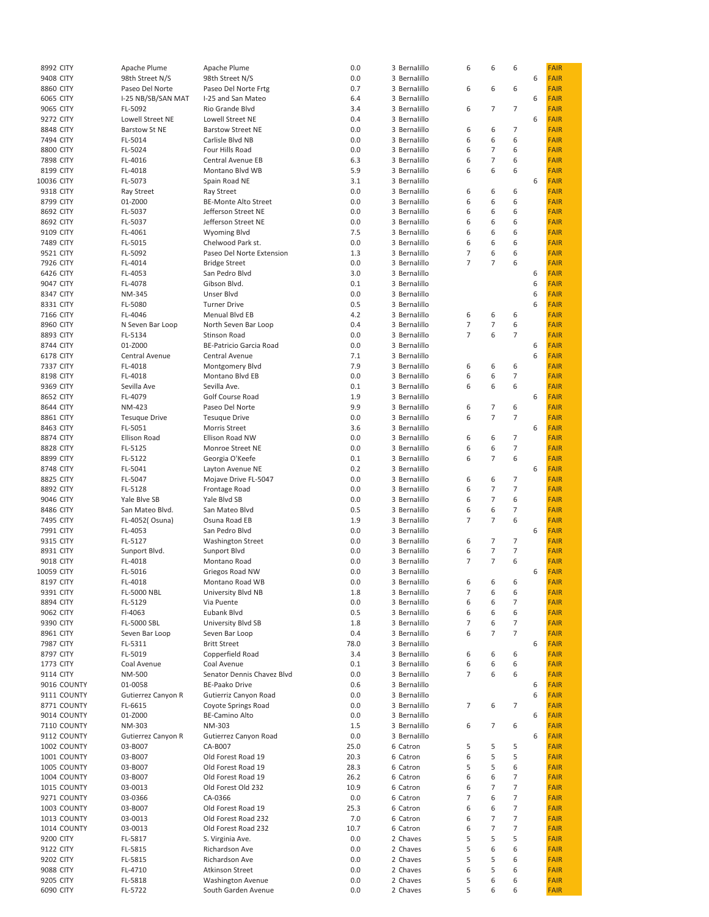| 8992 CITY              |             | Apache Plume         | Apache Plume                                    | 0.0        | 3 Bernalillo         | 6              | 6              | 6              |   | <b>FAIR</b>                |
|------------------------|-------------|----------------------|-------------------------------------------------|------------|----------------------|----------------|----------------|----------------|---|----------------------------|
| 9408 CITY              |             | 98th Street N/S      | 98th Street N/S                                 | 0.0        | 3 Bernalillo         |                |                |                | 6 | <b>FAIR</b>                |
| 8860 CITY              |             | Paseo Del Norte      | Paseo Del Norte Frtg                            | 0.7        | 3 Bernalillo         | 6              | 6              | 6              |   | <b>FAIR</b>                |
| 6065 CITY              |             | I-25 NB/SB/SAN MAT   | I-25 and San Mateo                              | 6.4        | 3 Bernalillo         |                |                |                | 6 | <b>FAIR</b>                |
|                        |             |                      |                                                 |            |                      |                |                |                |   |                            |
| 9065 CITY              |             | FL-5092              | Rio Grande Blvd                                 | 3.4        | 3 Bernalillo         | 6              | $\overline{7}$ | $\overline{7}$ |   | <b>FAIR</b>                |
| 9272 CITY              |             | Lowell Street NE     | Lowell Street NE                                | 0.4        | 3 Bernalillo         |                |                |                | 6 | <b>FAIR</b>                |
| <b>8848 CITY</b>       |             | <b>Barstow St NE</b> | <b>Barstow Street NE</b>                        | 0.0        | 3 Bernalillo         | 6              | 6              | $\overline{7}$ |   | <b>FAIR</b>                |
| 7494 CITY              |             | FL-5014              | Carlisle Blvd NB                                | 0.0        | 3 Bernalillo         | 6              | 6              | 6              |   | <b>FAIR</b>                |
| 8800 CITY              |             | FL-5024              | Four Hills Road                                 | 0.0        | 3 Bernalillo         | 6              | $\overline{7}$ | 6              |   | <b>FAIR</b>                |
| <b>7898 CITY</b>       |             | FL-4016              | Central Avenue EB                               | 6.3        | 3 Bernalillo         | 6              | $\overline{7}$ | 6              |   | <b>FAIR</b>                |
|                        |             |                      |                                                 |            |                      |                |                |                |   |                            |
| 8199 CITY              |             | FL-4018              | Montano Blvd WB                                 | 5.9        | 3 Bernalillo         | 6              | 6              | 6              |   | <b>FAIR</b>                |
| 10036 CITY             |             | FL-5073              | Spain Road NE                                   | 3.1        | 3 Bernalillo         |                |                |                | 6 | <b>FAIR</b>                |
| 9318 CITY              |             | Ray Street           | Ray Street                                      | 0.0        | 3 Bernalillo         | 6              | 6              | 6              |   | <b>FAIR</b>                |
| 8799 CITY              |             | 01-Z000              | <b>BE-Monte Alto Street</b>                     | 0.0        | 3 Bernalillo         | 6              | 6              | 6              |   | <b>FAIR</b>                |
| 8692 CITY              |             | FL-5037              | Jefferson Street NE                             | 0.0        | 3 Bernalillo         | 6              | 6              | 6              |   | <b>FAIR</b>                |
|                        |             |                      |                                                 |            |                      |                |                |                |   |                            |
| 8692 CITY              |             | FL-5037              | Jefferson Street NE                             | 0.0        | 3 Bernalillo         | 6              | 6              | 6              |   | <b>FAIR</b>                |
| 9109 CITY              |             | FL-4061              | <b>Wyoming Blvd</b>                             | 7.5        | 3 Bernalillo         | 6              | 6              | 6              |   | <b>FAIR</b>                |
| 7489 CITY              |             | FL-5015              | Chelwood Park st.                               | 0.0        | 3 Bernalillo         | 6              | 6              | 6              |   | <b>FAIR</b>                |
| 9521 CITY              |             | FL-5092              | Paseo Del Norte Extension                       | 1.3        | 3 Bernalillo         | 7              | 6              | 6              |   | <b>FAIR</b>                |
| 7926 CITY              |             | FL-4014              | <b>Bridge Street</b>                            | 0.0        | 3 Bernalillo         | $\overline{7}$ | $\overline{7}$ | 6              |   | <b>FAIR</b>                |
|                        |             |                      | San Pedro Blvd                                  | 3.0        | 3 Bernalillo         |                |                |                | 6 | <b>FAIR</b>                |
| 6426 CITY              |             | FL-4053              |                                                 |            |                      |                |                |                |   |                            |
| 9047 CITY              |             | FL-4078              | Gibson Blvd.                                    | 0.1        | 3 Bernalillo         |                |                |                | 6 | <b>FAIR</b>                |
| 8347 CITY              |             | NM-345               | Unser Blvd                                      | 0.0        | 3 Bernalillo         |                |                |                | 6 | <b>FAIR</b>                |
| 8331 CITY              |             | FL-5080              | <b>Turner Drive</b>                             | 0.5        | 3 Bernalillo         |                |                | 6              |   | <b>FAIR</b>                |
| 7166 CITY              |             | FL-4046              | Menual Blvd EB                                  | 4.2        | 3 Bernalillo         | 6              | 6              | 6              |   | <b>FAIR</b>                |
| 8960 CITY              |             | N Seven Bar Loop     | North Seven Bar Loop                            | 0.4        | 3 Bernalillo         | 7              | $\overline{7}$ | 6              |   | <b>FAIR</b>                |
|                        |             |                      |                                                 |            |                      |                |                |                |   |                            |
| 8893 CITY              |             | FL-5134              | <b>Stinson Road</b>                             | 0.0        | 3 Bernalillo         | $\overline{7}$ | 6              | $\overline{7}$ |   | <b>FAIR</b>                |
| 8744 CITY              |             | 01-Z000              | <b>BE-Patricio Garcia Road</b>                  | 0.0        | 3 Bernalillo         |                |                |                | 6 | <b>FAIR</b>                |
| <b>6178 CITY</b>       |             | Central Avenue       | Central Avenue                                  | 7.1        | 3 Bernalillo         |                |                |                | 6 | <b>FAIR</b>                |
| 7337 CITY              |             | FL-4018              | Montgomery Blvd                                 | 7.9        | 3 Bernalillo         | 6              | 6              | 6              |   | <b>FAIR</b>                |
| 8198 CITY              |             | FL-4018              | Montano Blvd EB                                 | 0.0        | 3 Bernalillo         | 6              | 6              | $\overline{7}$ |   | <b>FAIR</b>                |
|                        |             |                      |                                                 |            |                      |                |                |                |   |                            |
| 9369 CITY              |             | Sevilla Ave          | Sevilla Ave.                                    | 0.1        | 3 Bernalillo         | 6              | 6              | 6              |   | <b>FAIR</b>                |
| 8652 CITY              |             | FL-4079              | Golf Course Road                                | 1.9        | 3 Bernalillo         |                |                |                | 6 | <b>FAIR</b>                |
| 8644 CITY              |             | <b>NM-423</b>        | Paseo Del Norte                                 | 9.9        | 3 Bernalillo         | 6              | $\overline{7}$ | 6              |   | <b>FAIR</b>                |
| 8861 CITY              |             | <b>Tesuque Drive</b> | <b>Tesuque Drive</b>                            | 0.0        | 3 Bernalillo         | 6              | $\overline{7}$ | $\overline{7}$ |   | <b>FAIR</b>                |
| 8463 CITY              |             | FL-5051              | Morris Street                                   | 3.6        | 3 Bernalillo         |                |                |                | 6 | <b>FAIR</b>                |
|                        |             |                      |                                                 |            |                      |                |                |                |   |                            |
| 8874 CITY              |             | Ellison Road         | Ellison Road NW                                 | 0.0        | 3 Bernalillo         | 6              | 6              | $\overline{7}$ |   | <b>FAIR</b>                |
| 8828 CITY              |             | FL-5125              | Monroe Street NE                                | 0.0        | 3 Bernalillo         | 6              | 6              | $\overline{7}$ |   | <b>FAIR</b>                |
| 8899 CITY              |             | FL-5122              | Georgia O'Keefe                                 | 0.1        | 3 Bernalillo         | 6              | $\overline{7}$ | 6              |   | <b>FAIR</b>                |
| 8748 CITY              |             | FL-5041              | Layton Avenue NE                                | 0.2        | 3 Bernalillo         |                |                | 6              |   | <b>FAIR</b>                |
| <b>8825 CITY</b>       |             | FL-5047              | Mojave Drive FL-5047                            | 0.0        | 3 Bernalillo         | 6              | 6              | $\overline{7}$ |   | <b>FAIR</b>                |
|                        |             |                      |                                                 |            |                      |                | $\overline{7}$ | $\overline{7}$ |   |                            |
| 8892 CITY              |             | FL-5128              | Frontage Road                                   | 0.0        | 3 Bernalillo         | 6              |                |                |   | <b>FAIR</b>                |
| 9046 CITY              |             | Yale Blve SB         | Yale Blvd SB                                    | 0.0        | 3 Bernalillo         | 6              | $\overline{7}$ | 6              |   | <b>FAIR</b>                |
| 8486 CITY              |             | San Mateo Blvd.      | San Mateo Blvd                                  | 0.5        | 3 Bernalillo         | 6              | 6              | $\overline{7}$ |   | <b>FAIR</b>                |
| 7495 CITY              |             | FL-4052(Osuna)       | Osuna Road EB                                   | 1.9        | 3 Bernalillo         | $\overline{7}$ | $\overline{7}$ | 6              |   | <b>FAIR</b>                |
| 7991 CITY              |             | FL-4053              | San Pedro Blvd                                  | 0.0        | 3 Bernalillo         |                |                |                | 6 | <b>FAIR</b>                |
|                        |             |                      | <b>Washington Street</b>                        |            | 3 Bernalillo         | 6              | $\overline{7}$ | $\overline{7}$ |   | <b>FAIR</b>                |
| 9315 CITY              |             | FL-5127              |                                                 | 0.0        |                      |                |                |                |   |                            |
| 8931 CITY              |             | Sunport Blvd.        | Sunport Blvd                                    | 0.0        | 3 Bernalillo         | 6              | 7              | $\overline{7}$ |   | <b>FAIR</b>                |
| <b>9018 CITY</b>       |             | FL-4018              | Montano Road                                    | 0.0        | 3 Bernalillo         | $\overline{7}$ | $\overline{7}$ | 6              |   | <b>FAIR</b>                |
| 10059 CITY             |             | FL-5016              | Griegos Road NW                                 | 0.0        | 3 Bernalillo         |                |                |                | 6 | <b>FAIR</b>                |
| 8197 CITY              |             | FL-4018              | Montano Road WB                                 | 0.0        | 3 Bernalillo         | 6              | 6              | 6              |   | <b>FAIR</b>                |
| 9391 CITY              |             | <b>FL-5000 NBL</b>   | University Blvd NB                              | 1.8        | 3 Bernalillo         | 7              | 6              | 6              |   | <b>FAIR</b>                |
|                        |             |                      |                                                 |            |                      |                |                |                |   |                            |
| 8894 CITY              |             | FL-5129              | Via Puente                                      | 0.0        | 3 Bernalillo         | 6              | 6              | 7              |   | <b>FAIR</b>                |
| 9062 CITY              |             | FI-4063              | Eubank Blvd                                     | 0.5        | 3 Bernalillo         | 6              | 6              | 6              |   | <b>FAIR</b>                |
| 9390 CITY              |             | <b>FL-5000 SBL</b>   | University Blvd SB                              | 1.8        | 3 Bernalillo         | 7              | 6              | 7              |   | <b>FAIR</b>                |
| 8961 CITY              |             | Seven Bar Loop       | Seven Bar Loop                                  | 0.4        | 3 Bernalillo         | 6              | 7              | 7              |   | <b>FAIR</b>                |
| 7987 CITY              |             | FL-5311              | <b>Britt Street</b>                             | 78.0       | 3 Bernalillo         |                |                |                | 6 | <b>FAIR</b>                |
| 8797 CITY              |             | FL-5019              | Copperfield Road                                | 3.4        | 3 Bernalillo         | 6              | 6              | 6              |   | <b>FAIR</b>                |
|                        |             |                      |                                                 |            |                      |                |                |                |   |                            |
| <b>1773 CITY</b>       |             | Coal Avenue          | Coal Avenue                                     | 0.1        | 3 Bernalillo         | 6              | 6              | 6              |   | <b>FAIR</b>                |
| 9114 CITY              |             | NM-500               | Senator Dennis Chavez Blvd                      | 0.0        | 3 Bernalillo         | 7              | 6              | 6              |   | <b>FAIR</b>                |
|                        | 9016 COUNTY | 01-0058              | <b>BE-Paako Drive</b>                           | 0.6        | 3 Bernalillo         |                |                |                | 6 | <b>FAIR</b>                |
|                        | 9111 COUNTY | Gutierrez Canyon R   | Gutierriz Canyon Road                           | 0.0        | 3 Bernalillo         |                |                |                | 6 | <b>FAIR</b>                |
|                        | 8771 COUNTY | FL-6615              | Coyote Springs Road                             | 0.0        | 3 Bernalillo         | 7              | 6              | 7              |   | <b>FAIR</b>                |
|                        |             |                      | <b>BE-Camino Alto</b>                           | 0.0        | 3 Bernalillo         |                |                |                | 6 | <b>FAIR</b>                |
|                        | 9014 COUNTY | 01-Z000              |                                                 |            |                      |                |                |                |   |                            |
|                        | 7110 COUNTY | NM-303               | NM-303                                          | 1.5        | 3 Bernalillo         | 6              | 7              | 6              |   | <b>FAIR</b>                |
|                        | 9112 COUNTY | Gutierrez Canyon R   | Gutierrez Canyon Road                           | 0.0        | 3 Bernalillo         |                |                |                | 6 | <b>FAIR</b>                |
|                        | 1002 COUNTY | 03-B007              | CA-B007                                         | 25.0       | 6 Catron             | 5              | 5              | 5              |   | <b>FAIR</b>                |
|                        | 1001 COUNTY | 03-B007              | Old Forest Road 19                              | 20.3       | 6 Catron             | 6              | 5              | 5              |   | <b>FAIR</b>                |
|                        | 1005 COUNTY | 03-B007              | Old Forest Road 19                              | 28.3       | 6 Catron             | 5              | 5              | 6              |   | <b>FAIR</b>                |
|                        |             |                      |                                                 |            |                      |                |                |                |   |                            |
|                        | 1004 COUNTY | 03-B007              | Old Forest Road 19                              | 26.2       | 6 Catron             | 6              | 6              | 7              |   | <b>FAIR</b>                |
|                        | 1015 COUNTY | 03-0013              | Old Forest Old 232                              | 10.9       | 6 Catron             | 6              | 7              | $\overline{7}$ |   | <b>FAIR</b>                |
|                        | 9271 COUNTY | 03-0366              | CA-0366                                         | 0.0        | 6 Catron             | 7              | 6              | $\overline{7}$ |   | <b>FAIR</b>                |
|                        | 1003 COUNTY | 03-B007              | Old Forest Road 19                              | 25.3       | 6 Catron             | 6              | 6              | $\overline{7}$ |   | <b>FAIR</b>                |
|                        | 1013 COUNTY | 03-0013              | Old Forest Road 232                             | 7.0        | 6 Catron             | 6              | 7              | $\overline{7}$ |   | <b>FAIR</b>                |
|                        |             |                      |                                                 |            |                      |                |                |                |   |                            |
|                        | 1014 COUNTY | 03-0013              | Old Forest Road 232                             | 10.7       | 6 Catron             | 6              | 7              | $\overline{7}$ |   | <b>FAIR</b>                |
| 9200 CITY              |             | FL-5817              | S. Virginia Ave.                                | 0.0        | 2 Chaves             | 5              | 5              | 5              |   | <b>FAIR</b>                |
| 9122 CITY              |             | FL-5815              | Richardson Ave                                  | 0.0        | 2 Chaves             | 5              | 6              | 6              |   | <b>FAIR</b>                |
| 9202 CITY              |             | FL-5815              | Richardson Ave                                  | 0.0        | 2 Chaves             | 5              | 5              | 6              |   | <b>FAIR</b>                |
|                        |             |                      |                                                 |            |                      |                |                |                |   |                            |
|                        |             |                      |                                                 |            |                      |                |                |                |   |                            |
| 9088 CITY              |             | FL-4710              | <b>Atkinson Street</b>                          | 0.0        | 2 Chaves             | 6              | 5              | 6              |   | <b>FAIR</b>                |
| 9205 CITY<br>6090 CITY |             | FL-5818<br>FL-5722   | <b>Washington Avenue</b><br>South Garden Avenue | 0.0<br>0.0 | 2 Chaves<br>2 Chaves | 5<br>5         | 6<br>6         | 6<br>6         |   | <b>FAIR</b><br><b>FAIR</b> |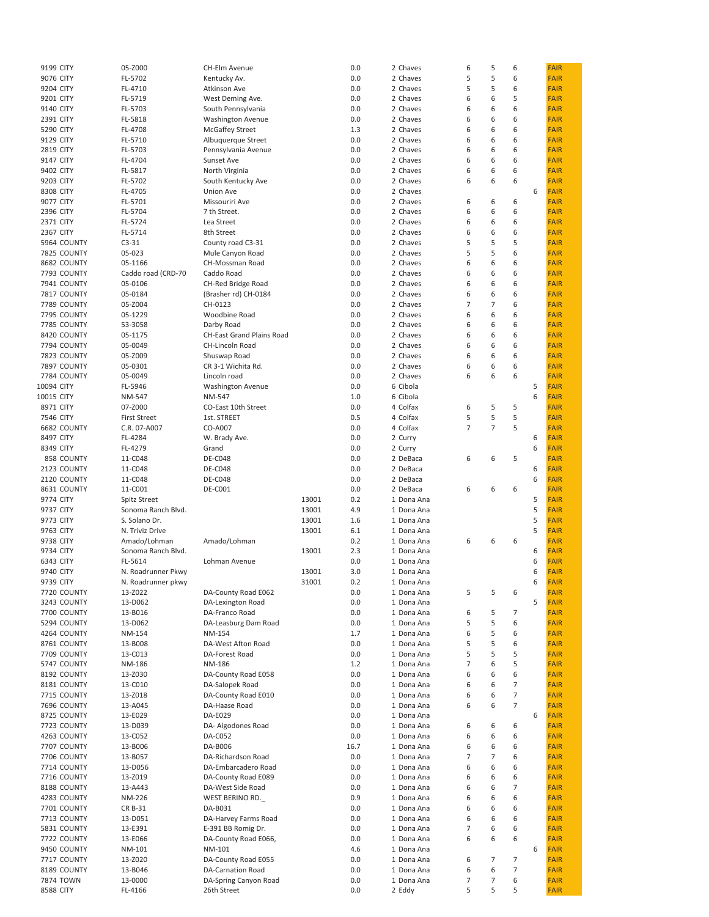| 9199 CITY        |             | 05-Z000             | CH-Elm Avenue                        |       | 0.0        | 2 Chaves             | 6              | 5              | 6              |   | <b>FAIR</b>                |
|------------------|-------------|---------------------|--------------------------------------|-------|------------|----------------------|----------------|----------------|----------------|---|----------------------------|
|                  |             |                     |                                      |       |            |                      | 5              |                |                |   |                            |
| 9076 CITY        |             | FL-5702             | Kentucky Av.                         |       | 0.0        | 2 Chaves             |                | 5              | 6              |   | <b>FAIR</b>                |
| 9204 CITY        |             | FL-4710             | Atkinson Ave                         |       | 0.0        | 2 Chaves             | 5              | 5              | 6              |   | <b>FAIR</b>                |
| 9201 CITY        |             | FL-5719             | West Deming Ave.                     |       | 0.0        | 2 Chaves             | 6              | 6              | 5              |   | <b>FAIR</b>                |
| 9140 CITY        |             | FL-5703             | South Pennsylvania                   |       | 0.0        | 2 Chaves             | 6              | 6              | 6              |   | <b>FAIR</b>                |
|                  |             |                     |                                      |       |            | 2 Chaves             | 6              |                | 6              |   | <b>FAIR</b>                |
| 2391 CITY        |             | FL-5818             | <b>Washington Avenue</b>             |       | 0.0        |                      |                | 6              |                |   |                            |
| 5290 CITY        |             | FL-4708             | <b>McGaffey Street</b>               |       | 1.3        | 2 Chaves             | 6              | 6              | 6              |   | <b>FAIR</b>                |
| 9129 CITY        |             | FL-5710             | Albuquerque Street                   |       | 0.0        | 2 Chaves             | 6              | 6              | 6              |   | <b>FAIR</b>                |
| <b>2819 CITY</b> |             | FL-5703             | Pennsylvania Avenue                  |       | 0.0        | 2 Chaves             | 6              | 6              | 6              |   | <b>FAIR</b>                |
|                  |             |                     |                                      |       | 0.0        | 2 Chaves             | 6              | 6              | 6              |   | <b>FAIR</b>                |
| 9147 CITY        |             | FL-4704             | Sunset Ave                           |       |            |                      |                |                |                |   |                            |
| 9402 CITY        |             | FL-5817             | North Virginia                       |       | 0.0        | 2 Chaves             | 6              | 6              | 6              |   | <b>FAIR</b>                |
| 9203 CITY        |             | FL-5702             | South Kentucky Ave                   |       | 0.0        | 2 Chaves             | 6              | 6              | 6              |   | <b>FAIR</b>                |
| 8308 CITY        |             | FL-4705             | <b>Union Ave</b>                     |       | 0.0        | 2 Chaves             |                |                |                | 6 | <b>FAIR</b>                |
|                  |             |                     |                                      |       |            |                      |                |                |                |   |                            |
| 9077 CITY        |             | FL-5701             | Missouriri Ave                       |       | 0.0        | 2 Chaves             | 6              | 6              | 6              |   | <b>FAIR</b>                |
| 2396 CITY        |             | FL-5704             | 7 th Street.                         |       | 0.0        | 2 Chaves             | 6              | 6              | 6              |   | <b>FAIR</b>                |
| 2371 CITY        |             | FL-5724             | Lea Street                           |       | 0.0        | 2 Chaves             | 6              | 6              | 6              |   | <b>FAIR</b>                |
| 2367 CITY        |             | FL-5714             | 8th Street                           |       | 0.0        | 2 Chaves             | 6              | 6              | 6              |   | <b>FAIR</b>                |
|                  |             |                     |                                      |       |            |                      |                |                |                |   |                            |
|                  | 5964 COUNTY | $C3-31$             | County road C3-31                    |       | 0.0        | 2 Chaves             | 5              | 5              | 5              |   | <b>FAIR</b>                |
|                  | 7825 COUNTY | 05-023              | Mule Canyon Road                     |       | 0.0        | 2 Chaves             | 5              | 5              | 6              |   | <b>FAIR</b>                |
|                  | 8682 COUNTY | 05-1166             | CH-Mossman Road                      |       | 0.0        | 2 Chaves             | 6              | 6              | 6              |   | <b>FAIR</b>                |
|                  | 7793 COUNTY | Caddo road (CRD-70  | Caddo Road                           |       | 0.0        | 2 Chaves             | 6              | 6              | 6              |   | <b>FAIR</b>                |
|                  |             |                     |                                      |       |            |                      |                |                |                |   |                            |
|                  | 7941 COUNTY | 05-0106             | CH-Red Bridge Road                   |       | 0.0        | 2 Chaves             | 6              | 6              | 6              |   | <b>FAIR</b>                |
|                  | 7817 COUNTY | 05-0184             | (Brasher rd) CH-0184                 |       | 0.0        | 2 Chaves             | 6              | 6              | 6              |   | <b>FAIR</b>                |
|                  | 7789 COUNTY | 05-Z004             | CH-0123                              |       | 0.0        | 2 Chaves             | $\overline{7}$ | $\overline{7}$ | 6              |   | <b>FAIR</b>                |
|                  | 7795 COUNTY | 05-1229             | Woodbine Road                        |       | 0.0        | 2 Chaves             | 6              | 6              | 6              |   | <b>FAIR</b>                |
|                  |             |                     |                                      |       |            |                      |                |                |                |   |                            |
|                  | 7785 COUNTY | 53-3058             | Darby Road                           |       | 0.0        | 2 Chaves             | 6              | 6              | 6              |   | <b>FAIR</b>                |
|                  | 8420 COUNTY | 05-1175             | CH-East Grand Plains Road            |       | 0.0        | 2 Chaves             | 6              | 6              | 6              |   | <b>FAIR</b>                |
|                  | 7794 COUNTY | 05-0049             | CH-Lincoln Road                      |       | 0.0        | 2 Chaves             | 6              | 6              | 6              |   | <b>FAIR</b>                |
|                  |             |                     |                                      |       |            |                      |                |                |                |   |                            |
|                  | 7823 COUNTY | 05-Z009             | Shuswap Road                         |       | 0.0        | 2 Chaves             | 6              | 6              | 6              |   | <b>FAIR</b>                |
|                  | 7897 COUNTY | 05-0301             | CR 3-1 Wichita Rd.                   |       | 0.0        | 2 Chaves             | 6              | 6              | 6              |   | <b>FAIR</b>                |
|                  | 7784 COUNTY | 05-0049             | Lincoln road                         |       | 0.0        | 2 Chaves             | 6              | 6              | 6              |   | <b>FAIR</b>                |
| 10094 CITY       |             | FL-5946             | <b>Washington Avenue</b>             |       | 0.0        | 6 Cibola             |                |                |                | 5 | <b>FAIR</b>                |
|                  |             |                     | <b>NM-547</b>                        |       |            |                      |                |                |                | 6 |                            |
| 10015 CITY       |             | NM-547              |                                      |       | 1.0        | 6 Cibola             |                |                |                |   | <b>FAIR</b>                |
| 8971 CITY        |             | 07-Z000             | CO-East 10th Street                  |       | 0.0        | 4 Colfax             | 6              | 5              | 5              |   | <b>FAIR</b>                |
| 7546 CITY        |             | <b>First Street</b> | 1st. STREET                          |       | 0.5        | 4 Colfax             | 5              | 5              | 5              |   | <b>FAIR</b>                |
|                  | 6682 COUNTY | C.R. 07-A007        | CO-A007                              |       | 0.0        | 4 Colfax             | $\overline{7}$ | $\overline{7}$ | 5              |   | <b>FAIR</b>                |
|                  |             |                     |                                      |       |            |                      |                |                |                |   |                            |
| 8497 CITY        |             | FL-4284             | W. Brady Ave.                        |       | 0.0        | 2 Curry              |                |                |                | 6 | <b>FAIR</b>                |
| 8349 CITY        |             | FL-4279             | Grand                                |       | 0.0        | 2 Curry              |                |                |                | 6 | <b>FAIR</b>                |
|                  | 858 COUNTY  | 11-C048             | <b>DE-C048</b>                       |       | 0.0        | 2 DeBaca             | 6              | 6              | 5              |   | <b>FAIR</b>                |
|                  | 2123 COUNTY | 11-C048             | <b>DE-C048</b>                       |       | 0.0        | 2 DeBaca             |                |                |                | 6 | <b>FAIR</b>                |
|                  |             |                     |                                      |       |            |                      |                |                |                |   |                            |
|                  | 2120 COUNTY | 11-C048             | <b>DE-C048</b>                       |       | 0.0        | 2 DeBaca             |                |                |                | 6 | <b>FAIR</b>                |
|                  | 8631 COUNTY | 11-C001             | <b>DE-C001</b>                       |       | 0.0        | 2 DeBaca             | 6              | 6              | 6              |   | <b>FAIR</b>                |
| 9774 CITY        |             | <b>Spitz Street</b> |                                      | 13001 | 0.2        | 1 Dona Ana           |                |                |                | 5 | <b>FAIR</b>                |
| 9737 CITY        |             | Sonoma Ranch Blvd.  |                                      | 13001 | 4.9        | 1 Dona Ana           |                |                |                | 5 | <b>FAIR</b>                |
|                  |             |                     |                                      |       |            |                      |                |                |                |   |                            |
| 9773 CITY        |             | S. Solano Dr.       |                                      | 13001 | 1.6        | 1 Dona Ana           |                |                |                | 5 | <b>FAIR</b>                |
| 9763 CITY        |             | N. Triviz Drive     |                                      | 13001 | 6.1        | 1 Dona Ana           |                |                |                | 5 | <b>FAIR</b>                |
| 9738 CITY        |             | Amado/Lohman        | Amado/Lohman                         |       | 0.2        | 1 Dona Ana           | 6              | 6              | 6              |   | <b>FAIR</b>                |
| 9734 CITY        |             | Sonoma Ranch Blvd.  |                                      | 13001 | 2.3        | 1 Dona Ana           |                |                |                | 6 | <b>FAIR</b>                |
|                  |             |                     |                                      |       |            |                      |                |                |                |   |                            |
| 6343 CITY        |             | FL-5614             | Lohman Avenue                        |       |            |                      |                |                |                | 6 | <b>FAIR</b>                |
| 9740 CITY        |             |                     |                                      |       | 0.0        | 1 Dona Ana           |                |                |                |   | <b>FAIR</b>                |
| 9739 CITY        |             | N. Roadrunner Pkwy  |                                      | 13001 | 3.0        | 1 Dona Ana           |                |                |                | 6 |                            |
|                  |             |                     |                                      |       |            |                      |                |                |                |   |                            |
|                  |             | N. Roadrunner pkwy  |                                      | 31001 | 0.2        | 1 Dona Ana           |                |                |                | 6 | FAIR                       |
|                  | 7720 COUNTY | 13-Z022             | DA-County Road E062                  |       | 0.0        | 1 Dona Ana           | 5              | 5              | 6              |   | <b>FAIR</b>                |
|                  | 3243 COUNTY | 13-D062             | DA-Lexington Road                    |       | 0.0        | 1 Dona Ana           |                |                |                | 5 | <b>FAIR</b>                |
|                  | 7700 COUNTY | 13-B016             | DA-Franco Road                       |       | 0.0        | 1 Dona Ana           | 6              | 5              | 7              |   | <b>FAIR</b>                |
|                  |             |                     |                                      |       |            |                      |                |                |                |   |                            |
|                  | 5294 COUNTY | 13-D062             | DA-Leasburg Dam Road                 |       | 0.0        | 1 Dona Ana           | 5              | 5              | 6              |   | <b>FAIR</b>                |
|                  | 4264 COUNTY | NM-154              | NM-154                               |       | 1.7        | 1 Dona Ana           | 6              | 5              | 6              |   | <b>FAIR</b>                |
|                  | 8761 COUNTY | 13-B008             | DA-West Afton Road                   |       | 0.0        | 1 Dona Ana           | 5              | 5              | 6              |   | <b>FAIR</b>                |
|                  | 7709 COUNTY | 13-C013             | DA-Forest Road                       |       | 0.0        | 1 Dona Ana           | 5              | 5              | 5              |   | <b>FAIR</b>                |
|                  |             |                     |                                      |       |            |                      |                |                |                |   |                            |
|                  | 5747 COUNTY | NM-186              | NM-186                               |       | 1.2        | 1 Dona Ana           | $\overline{7}$ | 6              | 5              |   | <b>FAIR</b>                |
|                  | 8192 COUNTY | 13-Z030             | DA-County Road E058                  |       | 0.0        | 1 Dona Ana           | 6              | 6              | 6              |   | <b>FAIR</b>                |
|                  | 8181 COUNTY | 13-C010             | DA-Salopek Road                      |       | 0.0        | 1 Dona Ana           | 6              | 6              | 7              |   | <b>FAIR</b>                |
|                  | 7715 COUNTY | 13-Z018             | DA-County Road E010                  |       | 0.0        | 1 Dona Ana           | 6              | 6              | $\overline{7}$ |   | <b>FAIR</b>                |
|                  |             |                     |                                      |       |            |                      |                |                |                |   |                            |
|                  | 7696 COUNTY | 13-A045             | DA-Haase Road                        |       | 0.0        | 1 Dona Ana           | 6              | 6              | $\overline{7}$ |   | <b>FAIR</b>                |
|                  | 8725 COUNTY | 13-E029             | DA-E029                              |       | 0.0        | 1 Dona Ana           |                |                |                | 6 | <b>FAIR</b>                |
|                  | 7723 COUNTY | 13-D039             | DA- Algodones Road                   |       | 0.0        | 1 Dona Ana           | 6              | 6              | 6              |   | <b>FAIR</b>                |
|                  | 4263 COUNTY | 13-C052             | DA-C052                              |       | 0.0        | 1 Dona Ana           | 6              | 6              | 6              |   | <b>FAIR</b>                |
|                  |             |                     |                                      |       |            |                      |                |                |                |   |                            |
|                  | 7707 COUNTY | 13-B006             | DA-B006                              |       | 16.7       | 1 Dona Ana           | 6              | 6              | 6              |   | <b>FAIR</b>                |
|                  | 7706 COUNTY | 13-B057             | DA-Richardson Road                   |       | 0.0        | 1 Dona Ana           | $\overline{7}$ | 7              | 6              |   | <b>FAIR</b>                |
|                  | 7714 COUNTY | 13-D056             | DA-Embarcadero Road                  |       | 0.0        | 1 Dona Ana           | 6              | 6              | 6              |   | <b>FAIR</b>                |
|                  | 7716 COUNTY | 13-Z019             | DA-County Road E089                  |       | 0.0        | 1 Dona Ana           | 6              | 6              | 6              |   | <b>FAIR</b>                |
|                  |             |                     |                                      |       |            |                      |                |                |                |   |                            |
|                  | 8188 COUNTY | 13-A443             | DA-West Side Road                    |       | 0.0        | 1 Dona Ana           | 6              | 6              | $\overline{7}$ |   | <b>FAIR</b>                |
|                  | 4283 COUNTY | NM-226              | WEST BERINO RD.                      |       | 0.9        | 1 Dona Ana           | 6              | 6              | 6              |   | <b>FAIR</b>                |
|                  | 7701 COUNTY | CR B-31             | DA-B031                              |       | 0.0        | 1 Dona Ana           | 6              | 6              | 6              |   | <b>FAIR</b>                |
|                  | 7713 COUNTY | 13-D051             | DA-Harvey Farms Road                 |       | 0.0        | 1 Dona Ana           | 6              | 6              | 6              |   | <b>FAIR</b>                |
|                  |             |                     |                                      |       |            |                      |                |                |                |   |                            |
|                  | 5831 COUNTY | 13-E391             | E-391 BB Romig Dr.                   |       | 0.0        | 1 Dona Ana           | 7              | 6              | 6              |   | <b>FAIR</b>                |
|                  | 7722 COUNTY | 13-E066             | DA-County Road E066,                 |       | 0.0        | 1 Dona Ana           | 6              | 6              | 6              |   | <b>FAIR</b>                |
|                  | 9450 COUNTY | NM-101              | NM-101                               |       | 4.6        | 1 Dona Ana           |                |                |                | 6 | <b>FAIR</b>                |
|                  |             |                     |                                      |       | 0.0        |                      | 6              | 7              | 7              |   | <b>FAIR</b>                |
|                  | 7717 COUNTY | 13-Z020             | DA-County Road E055                  |       |            | 1 Dona Ana           |                |                |                |   |                            |
|                  | 8189 COUNTY | 13-B046             | DA-Carnation Road                    |       | 0.0        | 1 Dona Ana           | 6              | 6              | 7              |   | <b>FAIR</b>                |
| 8588 CITY        | 7874 TOWN   | 13-0000<br>FL-4166  | DA-Spring Canyon Road<br>26th Street |       | 0.0<br>0.0 | 1 Dona Ana<br>2 Eddy | 7<br>5         | 7<br>5         | 6<br>5         |   | <b>FAIR</b><br><b>FAIR</b> |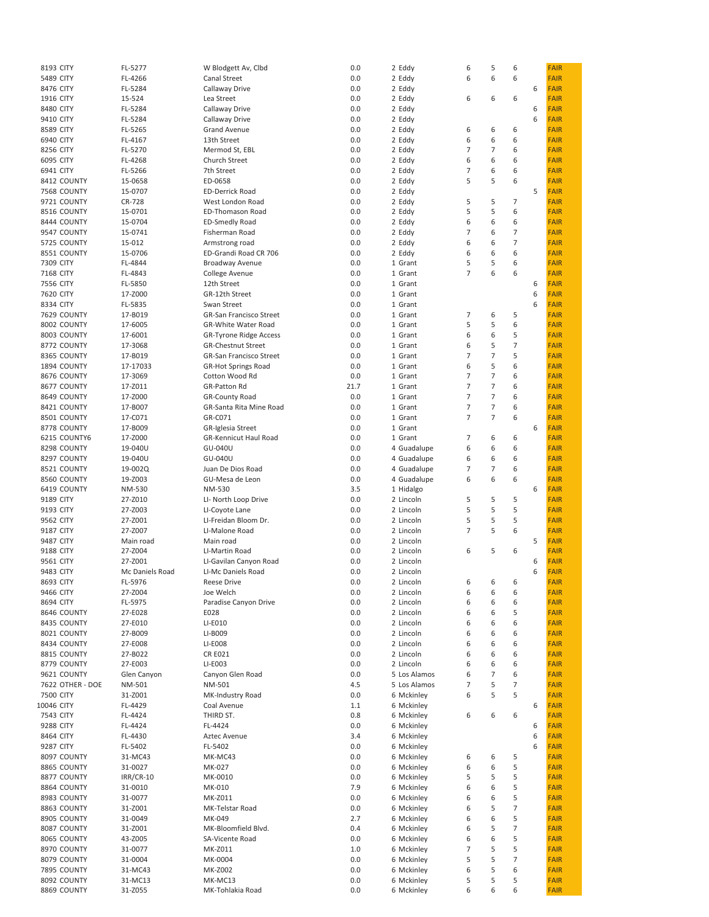|                               | FL-5277          | W Blodgett Av, Clbd            | 0.0        | 2 Eddy                   | 6              | 5              | 6              |   | <b>FAIR</b>                |
|-------------------------------|------------------|--------------------------------|------------|--------------------------|----------------|----------------|----------------|---|----------------------------|
| 8193 CITY<br><b>5489 CITY</b> | FL-4266          | Canal Street                   | 0.0        | 2 Eddy                   | 6              | 6              | 6              |   | <b>FAIR</b>                |
|                               |                  |                                |            |                          |                |                |                |   |                            |
| 8476 CITY                     | FL-5284          | Callaway Drive                 | 0.0        | 2 Eddy                   |                |                |                | 6 | <b>FAIR</b>                |
| <b>1916 CITY</b>              | 15-524           | Lea Street                     | 0.0        | 2 Eddy                   | 6              | 6              | 6              |   | <b>FAIR</b>                |
| 8480 CITY                     | FL-5284          | Callaway Drive                 | 0.0        | 2 Eddy                   |                |                |                | 6 | <b>FAIR</b>                |
| 9410 CITY                     | FL-5284          | Callaway Drive                 | 0.0        | 2 Eddy                   |                |                |                | 6 | <b>FAIR</b>                |
| 8589 CITY                     | FL-5265          | <b>Grand Avenue</b>            | 0.0        | 2 Eddy                   | 6              | 6              | 6              |   | <b>FAIR</b>                |
|                               |                  |                                |            |                          |                |                |                |   |                            |
| 6940 CITY                     | FL-4167          | 13th Street                    | 0.0        | 2 Eddy                   | 6              | 6              | 6              |   | <b>FAIR</b>                |
| 8256 CITY                     | FL-5270          | Mermod St, EBL                 | 0.0        | 2 Eddy                   | 7              | $\overline{7}$ | 6              |   | <b>FAIR</b>                |
| 6095 CITY                     | FL-4268          | Church Street                  | 0.0        | 2 Eddy                   | 6              | 6              | 6              |   | <b>FAIR</b>                |
| 6941 CITY                     | FL-5266          | 7th Street                     | 0.0        | 2 Eddy                   | 7              | 6              | 6              |   | <b>FAIR</b>                |
| 8412 COUNTY                   | 15-0658          | ED-0658                        | 0.0        | 2 Eddy                   | 5              | 5              | 6              |   | <b>FAIR</b>                |
|                               |                  |                                |            |                          |                |                |                |   |                            |
| 7568 COUNTY                   | 15-0707          | <b>ED-Derrick Road</b>         | 0.0        | 2 Eddy                   |                |                |                | 5 | <b>FAIR</b>                |
| 9721 COUNTY                   | CR-728           | West London Road               | 0.0        | 2 Eddy                   | 5              | 5              | $\overline{7}$ |   | <b>FAIR</b>                |
| 8516 COUNTY                   | 15-0701          | <b>ED-Thomason Road</b>        | 0.0        | 2 Eddy                   | 5              | 5              | 6              |   | <b>FAIR</b>                |
| 8444 COUNTY                   | 15-0704          | <b>ED-Smedly Road</b>          | 0.0        | 2 Eddy                   | 6              | 6              | 6              |   | <b>FAIR</b>                |
| 9547 COUNTY                   | 15-0741          | Fisherman Road                 | 0.0        | 2 Eddy                   | $\overline{7}$ | 6              | $\overline{7}$ |   | <b>FAIR</b>                |
| 5725 COUNTY                   | 15-012           | Armstrong road                 | 0.0        | 2 Eddy                   | 6              | 6              | $\overline{7}$ |   | <b>FAIR</b>                |
|                               |                  |                                |            |                          |                |                |                |   |                            |
| 8551 COUNTY                   | 15-0706          | ED-Grandi Road CR 706          | 0.0        | 2 Eddy                   | 6              | 6              | 6              |   | <b>FAIR</b>                |
| 7309 CITY                     | FL-4844          | Broadway Avenue                | 0.0        | 1 Grant                  | 5              | 5              | 6              |   | <b>FAIR</b>                |
| 7168 CITY                     | FL-4843          | College Avenue                 | 0.0        | 1 Grant                  | 7              | 6              | 6              |   | <b>FAIR</b>                |
| 7556 CITY                     | FL-5850          | 12th Street                    | 0.0        | 1 Grant                  |                |                |                | 6 | <b>FAIR</b>                |
| <b>7620 CITY</b>              | 17-Z000          | GR-12th Street                 | 0.0        | 1 Grant                  |                |                |                | 6 | <b>FAIR</b>                |
|                               |                  |                                |            |                          |                |                |                |   |                            |
| 8334 CITY                     | FL-5835          | Swan Street                    | 0.0        | 1 Grant                  |                |                |                | 6 | <b>FAIR</b>                |
| 7629 COUNTY                   | 17-B019          | <b>GR-San Francisco Street</b> | 0.0        | 1 Grant                  | 7              | 6              | 5              |   | <b>FAIR</b>                |
| 8002 COUNTY                   | 17-6005          | <b>GR-White Water Road</b>     | 0.0        | 1 Grant                  | 5              | 5              | 6              |   | <b>FAIR</b>                |
| 8003 COUNTY                   | 17-6001          | <b>GR-Tyrone Ridge Access</b>  | 0.0        | 1 Grant                  | 6              | 6              | 5              |   | <b>FAIR</b>                |
| 8772 COUNTY                   | 17-3068          | <b>GR-Chestnut Street</b>      | 0.0        | 1 Grant                  | 6              | 5              | $\overline{7}$ |   | <b>FAIR</b>                |
|                               |                  |                                |            |                          |                | $\overline{7}$ |                |   |                            |
| 8365 COUNTY                   | 17-B019          | <b>GR-San Francisco Street</b> | 0.0        | 1 Grant                  | $\overline{7}$ |                | 5              |   | <b>FAIR</b>                |
| 1894 COUNTY                   | 17-17033         | <b>GR-Hot Springs Road</b>     | 0.0        | 1 Grant                  | 6              | 5              | 6              |   | <b>FAIR</b>                |
| 8676 COUNTY                   | 17-3069          | Cotton Wood Rd                 | 0.0        | 1 Grant                  | 7              | $\overline{7}$ | 6              |   | <b>FAIR</b>                |
| 8677 COUNTY                   | 17-Z011          | <b>GR-Patton Rd</b>            | 21.7       | 1 Grant                  | 7              | $\overline{7}$ | 6              |   | <b>FAIR</b>                |
| 8649 COUNTY                   | 17-Z000          | <b>GR-County Road</b>          | 0.0        | 1 Grant                  | 7              | $\overline{7}$ | 6              |   | <b>FAIR</b>                |
|                               |                  |                                |            |                          |                | $\overline{7}$ |                |   |                            |
| 8421 COUNTY                   | 17-B007          | GR-Santa Rita Mine Road        | 0.0        | 1 Grant                  | 7              |                | 6              |   | <b>FAIR</b>                |
| 8501 COUNTY                   | 17-C071          | GR-C071                        | 0.0        | 1 Grant                  | $\overline{7}$ | $\overline{7}$ | 6              |   | <b>FAIR</b>                |
| 8778 COUNTY                   | 17-B009          | GR-Iglesia Street              | 0.0        | 1 Grant                  |                |                |                | 6 | <b>FAIR</b>                |
| 6215 COUNTY6                  | 17-Z000          | GR-Kennicut Haul Road          | 0.0        | 1 Grant                  | 7              | 6              | 6              |   | <b>FAIR</b>                |
| 8298 COUNTY                   | 19-040U          | GU-040U                        | 0.0        | 4 Guadalupe              | 6              | 6              | 6              |   | <b>FAIR</b>                |
|                               |                  |                                |            |                          |                |                |                |   |                            |
| 8297 COUNTY                   | 19-040U          | GU-040U                        | 0.0        | 4 Guadalupe              | 6              | 6              | 6              |   | <b>FAIR</b>                |
| 8521 COUNTY                   | 19-002Q          | Juan De Dios Road              | 0.0        | 4 Guadalupe              | 7              | $\overline{7}$ | 6              |   | <b>FAIR</b>                |
| 8560 COUNTY                   | 19-Z003          | GU-Mesa de Leon                | 0.0        | 4 Guadalupe              | 6              | 6              | 6              |   | <b>FAIR</b>                |
| 6419 COUNTY                   | NM-530           | NM-530                         | 3.5        | 1 Hidalgo                |                |                |                | 6 | <b>FAIR</b>                |
| 9189 CITY                     | 27-Z010          | LI- North Loop Drive           | 0.0        | 2 Lincoln                | 5              | 5              | 5              |   | <b>FAIR</b>                |
|                               |                  |                                |            |                          |                |                |                |   |                            |
|                               |                  |                                |            |                          |                |                |                |   |                            |
| 9193 CITY                     | 27-Z003          | LI-Coyote Lane                 | 0.0        | 2 Lincoln                | 5              | 5              | 5              |   | <b>FAIR</b>                |
| 9562 CITY                     | 27-Z001          | LI-Freidan Bloom Dr.           | 0.0        | 2 Lincoln                | 5              | 5              | 5              |   | <b>FAIR</b>                |
| 9187 CITY                     | 27-Z007          | LI-Malone Road                 | 0.0        | 2 Lincoln                | $\overline{7}$ | 5              | 6              |   | <b>FAIR</b>                |
| <b>9487 CITY</b>              | Main road        | Main road                      | 0.0        | 2 Lincoln                |                |                |                | 5 | <b>FAIR</b>                |
|                               |                  |                                |            |                          |                |                |                |   |                            |
| 9188 CITY                     | 27-Z004          | LI-Martin Road                 | 0.0        | 2 Lincoln                | 6              | 5              | 6              |   | <b>FAIR</b>                |
| 9561 CITY                     | 27-Z001          | LI-Gavilan Canyon Road         | 0.0        | 2 Lincoln                |                |                |                | 6 | <b>FAIR</b>                |
| 9483 CITY                     | Mc Daniels Road  | <b>LI-Mc Daniels Road</b>      | 0.0        | 2 Lincoln                |                |                |                | 6 | <b>FAIR</b>                |
| 8693 CITY                     | FL-5976          | Reese Drive                    | 0.0        | 2 Lincoln                | 6              | 6              | 6              |   | <b>FAIR</b>                |
| 9466 CITY                     | 27-Z004          | Joe Welch                      | 0.0        | 2 Lincoln                | 6              | 6              | 6              |   | <b>FAIR</b>                |
| 8694 CITY                     |                  |                                |            |                          |                | 6              |                |   |                            |
|                               | FL-5975          | Paradise Canyon Drive          | 0.0        | 2 Lincoln                | 6              |                | 6              |   | <b>FAIR</b>                |
| 8646 COUNTY                   | 27-E028          | E028                           | 0.0        | 2 Lincoln                | 6              | 6              | 5              |   | <b>FAIR</b>                |
| 8435 COUNTY                   | 27-E010          | LI-E010                        | 0.0        | 2 Lincoln                | 6              | 6              | 6              |   | <b>FAIR</b>                |
| 8021 COUNTY                   | 27-B009          | LI-B009                        | 0.0        | 2 Lincoln                | 6              | 6              | 6              |   | <b>FAIR</b>                |
| 8434 COUNTY                   | 27-E008          | LI-E008                        | 0.0        | 2 Lincoln                | 6              | 6              | 6              |   | <b>FAIR</b>                |
| 8815 COUNTY                   | 27-B022          | <b>CR E021</b>                 | 0.0        | 2 Lincoln                | 6              | 6              | 6              |   | <b>FAIR</b>                |
| 8779 COUNTY                   | 27-E003          | LI-E003                        | 0.0        | 2 Lincoln                | 6              | 6              | 6              |   | <b>FAIR</b>                |
| 9621 COUNTY                   |                  | Canyon Glen Road               | 0.0        | 5 Los Alamos             | 6              | 7              | 6              |   | <b>FAIR</b>                |
|                               | Glen Canyon      |                                |            |                          |                |                |                |   |                            |
| 7622 OTHER - DOE              | NM-501           | NM-501                         | 4.5        | 5 Los Alamos             | 7              | 5              | $\overline{7}$ |   | <b>FAIR</b>                |
| 7500 CITY                     | 31-Z001          | MK-Industry Road               | 0.0        | 6 Mckinley               | 6              | 5              | 5              |   | <b>FAIR</b>                |
| 10046 CITY                    | FL-4429          | Coal Avenue                    | 1.1        | 6 Mckinley               |                |                |                | 6 | <b>FAIR</b>                |
| 7543 CITY                     | FL-4424          | THIRD ST.                      | 0.8        | 6 Mckinley               | 6              | 6              | 6              |   | <b>FAIR</b>                |
| 9288 CITY                     | FL-4424          | FL-4424                        | 0.0        | 6 Mckinley               |                |                |                | 6 | <b>FAIR</b>                |
|                               |                  |                                |            |                          |                |                |                |   |                            |
| 8464 CITY                     | FL-4430          | Aztec Avenue                   | 3.4        | 6 Mckinley               |                |                |                | 6 | <b>FAIR</b>                |
| 9287 CITY                     | FL-5402          | FL-5402                        | 0.0        | 6 Mckinley               |                |                |                | 6 | <b>FAIR</b>                |
| 8097 COUNTY                   | 31-MC43          | MK-MC43                        | 0.0        | 6 Mckinley               | 6              | 6              | 5              |   | <b>FAIR</b>                |
| 8865 COUNTY                   | 31-0027          | MK-027                         | 0.0        | 6 Mckinley               | 6              | 6              | 5              |   | <b>FAIR</b>                |
| 8877 COUNTY                   | <b>IRR/CR-10</b> | MK-0010                        | 0.0        | 6 Mckinley               | 5              | 5              | 5              |   | <b>FAIR</b>                |
| 8864 COUNTY                   | 31-0010          | MK-010                         | 7.9        | 6 Mckinley               | 6              | 6              | 5              |   | <b>FAIR</b>                |
|                               |                  |                                |            |                          |                |                |                |   |                            |
| 8983 COUNTY                   | 31-0077          | MK-Z011                        | 0.0        | 6 Mckinley               | 6              | 6              | 5              |   | <b>FAIR</b>                |
| 8863 COUNTY                   | 31-Z001          | MK-Telstar Road                | 0.0        | 6 Mckinley               | 6              | 5              | $\overline{7}$ |   | <b>FAIR</b>                |
| 8905 COUNTY                   | 31-0049          | MK-049                         | 2.7        | 6 Mckinley               | 6              | 6              | 5              |   | <b>FAIR</b>                |
| 8087 COUNTY                   | 31-Z001          | MK-Bloomfield Blvd.            | 0.4        | 6 Mckinley               | 6              | 5              | $\overline{7}$ |   | <b>FAIR</b>                |
| 8065 COUNTY                   | 43-Z005          | SA-Vicente Road                | 0.0        | 6 Mckinley               | 6              | 6              | 5              |   | <b>FAIR</b>                |
|                               |                  |                                |            |                          |                |                |                |   |                            |
| 8970 COUNTY                   | 31-0077          | MK-Z011                        | 1.0        | 6 Mckinley               | 7              | 5              | 5              |   | <b>FAIR</b>                |
| 8079 COUNTY                   | 31-0004          | MK-0004                        | 0.0        | 6 Mckinley               | 5              | 5              | $\overline{7}$ |   | <b>FAIR</b>                |
| 7895 COUNTY                   | 31-MC43          | MK-Z002                        | 0.0        | 6 Mckinley               | 6              | 5              | 6              |   | <b>FAIR</b>                |
| 8092 COUNTY<br>8869 COUNTY    | 31-MC13          | MK-MC13<br>MK-Tohlakia Road    | 0.0<br>0.0 | 6 Mckinley<br>6 Mckinley | 5              | 5<br>6         | 5<br>6         |   | <b>FAIR</b><br><b>FAIR</b> |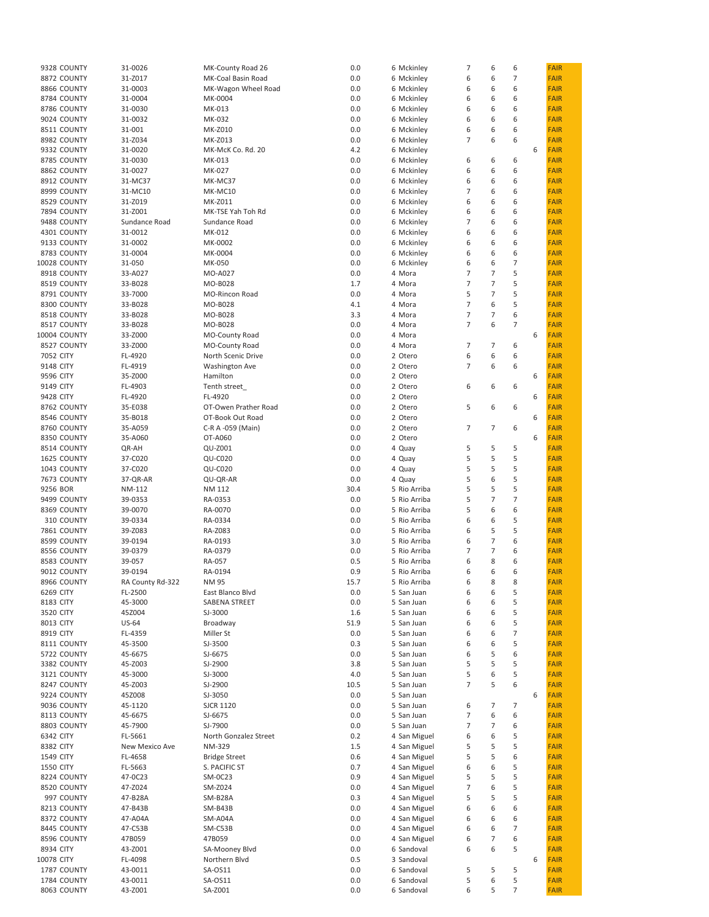|                   | 9328 COUNTY                | 31-0026            | MK-County Road 26     | 0.0        | 6 Mckinley               | 7              | 6              | 6              |   | <b>FAIR</b>                |
|-------------------|----------------------------|--------------------|-----------------------|------------|--------------------------|----------------|----------------|----------------|---|----------------------------|
|                   | 8872 COUNTY                | 31-Z017            | MK-Coal Basin Road    | 0.0        | 6 Mckinley               | 6              | 6              | $\overline{7}$ |   | <b>FAIR</b>                |
|                   |                            |                    |                       | 0.0        |                          | 6              | 6              | 6              |   | <b>FAIR</b>                |
|                   | 8866 COUNTY                | 31-0003            | MK-Wagon Wheel Road   |            | 6 Mckinley               |                |                |                |   |                            |
|                   | 8784 COUNTY                | 31-0004            | MK-0004               | 0.0        | 6 Mckinley               | 6              | 6              | 6              |   | <b>FAIR</b>                |
|                   | 8786 COUNTY                | 31-0030            | MK-013                | 0.0        | 6 Mckinley               | 6              | 6              | 6              |   | <b>FAIR</b>                |
|                   | 9024 COUNTY                | 31-0032            | MK-032                | 0.0        | 6 Mckinley               | 6              | 6              | 6              |   | <b>FAIR</b>                |
|                   | 8511 COUNTY                | 31-001             | MK-Z010               | 0.0        | 6 Mckinley               | 6              | 6              | 6              |   | <b>FAIR</b>                |
|                   | 8982 COUNTY                | 31-Z034            | MK-Z013               | 0.0        | 6 Mckinley               | 7              | 6              | 6              |   | <b>FAIR</b>                |
|                   |                            |                    |                       |            |                          |                |                |                |   |                            |
|                   | 9332 COUNTY                | 31-0020            | MK-McK Co. Rd. 20     | 4.2        | 6 Mckinley               |                |                |                | 6 | <b>FAIR</b>                |
|                   | 8785 COUNTY                | 31-0030            | MK-013                | 0.0        | 6 Mckinley               | 6              | 6              | 6              |   | <b>FAIR</b>                |
|                   | 8862 COUNTY                | 31-0027            | MK-027                | 0.0        | 6 Mckinley               | 6              | 6              | 6              |   | <b>FAIR</b>                |
|                   | 8912 COUNTY                | 31-MC37            | MK-MC37               | 0.0        | 6 Mckinley               | 6              | 6              | 6              |   | <b>FAIR</b>                |
|                   | 8999 COUNTY                | 31-MC10            | MK-MC10               | 0.0        | 6 Mckinley               | 7              | 6              | 6              |   | <b>FAIR</b>                |
|                   |                            |                    |                       |            |                          | 6              | 6              | 6              |   |                            |
|                   | 8529 COUNTY                | 31-Z019            | MK-Z011               | 0.0        | 6 Mckinley               |                |                |                |   | <b>FAIR</b>                |
|                   | 7894 COUNTY                | 31-Z001            | MK-TSE Yah Toh Rd     | 0.0        | 6 Mckinley               | 6              | 6              | 6              |   | <b>FAIR</b>                |
|                   | 9488 COUNTY                | Sundance Road      | Sundance Road         | 0.0        | 6 Mckinley               | $\overline{7}$ | 6              | 6              |   | <b>FAIR</b>                |
|                   | 4301 COUNTY                | 31-0012            | MK-012                | 0.0        | 6 Mckinley               | 6              | 6              | 6              |   | <b>FAIR</b>                |
|                   | 9133 COUNTY                | 31-0002            | MK-0002               | 0.0        | 6 Mckinley               | 6              | 6              | 6              |   | <b>FAIR</b>                |
|                   |                            |                    |                       | 0.0        |                          | 6              | 6              | 6              |   | <b>FAIR</b>                |
|                   | 8783 COUNTY                | 31-0004            | MK-0004               |            | 6 Mckinley               |                |                |                |   |                            |
|                   | 10028 COUNTY               | 31-050             | MK-050                | 0.0        | 6 Mckinley               | 6              | 6              | 7              |   | <b>FAIR</b>                |
|                   | 8918 COUNTY                | 33-A027            | MO-A027               | 0.0        | 4 Mora                   | 7              | $\overline{7}$ | 5              |   | <b>FAIR</b>                |
|                   | 8519 COUNTY                | 33-B028            | MO-B028               | 1.7        | 4 Mora                   | 7              | $\overline{7}$ | 5              |   | <b>FAIR</b>                |
|                   | 8791 COUNTY                | 33-7000            | MO-Rincon Road        | 0.0        | 4 Mora                   | 5              | $\overline{7}$ | 5              |   | <b>FAIR</b>                |
|                   | 8300 COUNTY                | 33-B028            | MO-B028               | 4.1        | 4 Mora                   | 7              | 6              | 5              |   | <b>FAIR</b>                |
|                   |                            |                    |                       |            |                          |                |                |                |   |                            |
|                   | 8518 COUNTY                | 33-B028            | MO-B028               | 3.3        | 4 Mora                   | 7              | $\overline{7}$ | 6              |   | <b>FAIR</b>                |
|                   | 8517 COUNTY                | 33-B028            | MO-B028               | 0.0        | 4 Mora                   | $\overline{7}$ | 6              | $\overline{7}$ |   | <b>FAIR</b>                |
|                   | 10004 COUNTY               | 33-Z000            | MO-County Road        | 0.0        | 4 Mora                   |                |                |                | 6 | <b>FAIR</b>                |
|                   | 8527 COUNTY                | 33-Z000            | MO-County Road        | 0.0        | 4 Mora                   | 7              | $\overline{7}$ | 6              |   | <b>FAIR</b>                |
| 7052 CITY         |                            | FL-4920            | North Scenic Drive    | 0.0        | 2 Otero                  | 6              | 6              | 6              |   | <b>FAIR</b>                |
|                   |                            |                    |                       |            |                          |                |                |                |   |                            |
| 9148 CITY         |                            | FL-4919            | <b>Washington Ave</b> | 0.0        | 2 Otero                  | $\overline{7}$ | 6              | 6              |   | <b>FAIR</b>                |
| 9596 CITY         |                            | 35-Z000            | Hamilton              | 0.0        | 2 Otero                  |                |                |                | 6 | <b>FAIR</b>                |
| 9149 CITY         |                            | FL-4903            | Tenth street          | 0.0        | 2 Otero                  | 6              | 6              | 6              |   | <b>FAIR</b>                |
| 9428 CITY         |                            | FL-4920            | FL-4920               | 0.0        | 2 Otero                  |                |                |                | 6 | <b>FAIR</b>                |
|                   | 8762 COUNTY                | 35-E038            | OT-Owen Prather Road  | 0.0        | 2 Otero                  | 5              | 6              | 6              |   | <b>FAIR</b>                |
|                   |                            |                    |                       |            |                          |                |                |                |   |                            |
|                   | 8546 COUNTY                | 35-B018            | OT-Book Out Road      | 0.0        | 2 Otero                  |                |                |                | 6 | <b>FAIR</b>                |
|                   | 8760 COUNTY                | 35-A059            | C-R A -059 (Main)     | 0.0        | 2 Otero                  | 7              | $\overline{7}$ | 6              |   | <b>FAIR</b>                |
|                   | 8350 COUNTY                | 35-A060            | OT-A060               | 0.0        | 2 Otero                  |                |                |                | 6 | <b>FAIR</b>                |
|                   | 8514 COUNTY                | QR-AH              | QU-Z001               | 0.0        | 4 Quay                   | 5              | 5              | 5              |   | <b>FAIR</b>                |
|                   | 1625 COUNTY                | 37-C020            | <b>QU-C020</b>        | 0.0        | 4 Quay                   | 5              | 5              | 5              |   | <b>FAIR</b>                |
|                   |                            |                    |                       |            |                          |                |                |                |   |                            |
|                   |                            |                    |                       |            |                          |                |                |                |   |                            |
|                   | 1043 COUNTY                | 37-C020            | QU-C020               | 0.0        | 4 Quay                   | 5              | 5              | 5              |   | <b>FAIR</b>                |
|                   | 7673 COUNTY                | 37-QR-AR           | QU-QR-AR              | 0.0        | 4 Quay                   | 5              | 6              | 5              |   | <b>FAIR</b>                |
| 9256 BOR          |                            | NM-112             | NM 112                | 30.4       | 5 Rio Arriba             | 5              | 5              | 5              |   | <b>FAIR</b>                |
|                   | 9499 COUNTY                | 39-0353            | RA-0353               | 0.0        | 5 Rio Arriba             | 5              | $\overline{7}$ | $\overline{7}$ |   | <b>FAIR</b>                |
|                   |                            |                    |                       |            |                          |                |                |                |   |                            |
|                   | 8369 COUNTY                | 39-0070            | RA-0070               | 0.0        | 5 Rio Arriba             | 5              | 6              | 6              |   | <b>FAIR</b>                |
|                   | 310 COUNTY                 | 39-0334            | RA-0334               | 0.0        | 5 Rio Arriba             | 6              | 6              | 5              |   | <b>FAIR</b>                |
|                   | 7861 COUNTY                | 39-Z083            | RA-Z083               | 0.0        | 5 Rio Arriba             | 6              | 5              | 5              |   | <b>FAIR</b>                |
|                   | 8599 COUNTY                | 39-0194            | RA-0193               | 3.0        | 5 Rio Arriba             | 6              | $\overline{7}$ | 6              |   | <b>FAIR</b>                |
|                   | 8556 COUNTY                | 39-0379            | RA-0379               | 0.0        | 5 Rio Arriba             | 7              | 7              | 6              |   | <b>FAIR</b>                |
|                   |                            |                    |                       |            |                          |                |                |                |   |                            |
|                   | 8583 COUNTY                | 39-057             | RA-057                | 0.5        | 5 Rio Arriba             | 6              | 8              | 6              |   | <b>FAIR</b>                |
|                   | 9012 COUNTY                | 39-0194            | RA-0194               | 0.9        | 5 Rio Arriba             | 6              | 6              | 6              |   | <b>FAIR</b>                |
|                   | 8966 COUNTY                | RA County Rd-322   | <b>NM 95</b>          | 15.7       | 5 Rio Arriba             | 6              | 8              | 8              |   | <b>FAIR</b>                |
| 6269 CITY         |                            | FL-2500            | East Blanco Blvd      | 0.0        | 5 San Juan               | 6              | 6              | 5              |   | <b>FAIR</b>                |
| 8183 CITY         |                            | 45-3000            | SABENA STREET         | 0.0        | 5 San Juan               | 6              | 6              | 5              |   | <b>FAIR</b>                |
|                   |                            |                    |                       |            |                          |                |                |                |   |                            |
| 3520 CITY         |                            | 45Z004             | SJ-3000               | 1.6        | 5 San Juan               | 6              | 6              | 5              |   | <b>FAIR</b>                |
| 8013 CITY         |                            | US-64              | Broadway              | 51.9       | 5 San Juan               | 6              | 6              | 5              |   | <b>FAIR</b>                |
| 8919 CITY         |                            | FL-4359            | Miller St             | 0.0        | 5 San Juan               | 6              | 6              | $\overline{7}$ |   | <b>FAIR</b>                |
|                   | 8111 COUNTY                | 45-3500            | SJ-3500               | 0.3        | 5 San Juan               | 6              | 6              | 5              |   | <b>FAIR</b>                |
|                   | 5722 COUNTY                | 45-6675            | SJ-6675               | 0.0        | 5 San Juan               | 6              | 5              | 6              |   | <b>FAIR</b>                |
|                   | 3382 COUNTY                | 45-Z003            | SJ-2900               | 3.8        | 5 San Juan               | 5              | 5              | 5              |   | <b>FAIR</b>                |
|                   | 3121 COUNTY                | 45-3000            | SJ-3000               | 4.0        | 5 San Juan               | 5              | 6              | 5              |   | <b>FAIR</b>                |
|                   |                            |                    |                       |            |                          |                |                |                |   |                            |
|                   | 8247 COUNTY                | 45-Z003            | SJ-2900               | 10.5       | 5 San Juan               | 7              | 5              | 6              |   | <b>FAIR</b>                |
|                   | 9224 COUNTY                | 45Z008             | SJ-3050               | 0.0        | 5 San Juan               |                |                |                | 6 | <b>FAIR</b>                |
|                   | 9036 COUNTY                | 45-1120            | <b>SJCR 1120</b>      | 0.0        | 5 San Juan               | 6              | 7              | 7              |   | <b>FAIR</b>                |
|                   | 8113 COUNTY                | 45-6675            | SJ-6675               | 0.0        | 5 San Juan               | 7              | 6              | 6              |   | <b>FAIR</b>                |
|                   | 8803 COUNTY                | 45-7900            | SJ-7900               | 0.0        | 5 San Juan               | 7              | 7              | 6              |   | <b>FAIR</b>                |
| 6342 CITY         |                            | FL-5661            | North Gonzalez Street | 0.2        | 4 San Miguel             | 6              | 6              | 5              |   | <b>FAIR</b>                |
|                   |                            |                    |                       |            |                          |                |                |                |   |                            |
| 8382 CITY         |                            | New Mexico Ave     | NM-329                | 1.5        | 4 San Miguel             | 5              | 5              | 5              |   | <b>FAIR</b>                |
| <b>1549 CITY</b>  |                            | FL-4658            | <b>Bridge Street</b>  | 0.6        | 4 San Miguel             | 5              | 5              | 6              |   | <b>FAIR</b>                |
| <b>1550 CITY</b>  |                            | FL-5663            | S. PACIFIC ST         | 0.7        | 4 San Miguel             | 6              | 6              | 5              |   | <b>FAIR</b>                |
|                   | 8224 COUNTY                | 47-0C23            | SM-0C23               | 0.9        | 4 San Miguel             | 5              | 5              | 5              |   | <b>FAIR</b>                |
|                   | 8520 COUNTY                | 47-Z024            | SM-Z024               | 0.0        | 4 San Miguel             | 7              | 6              | 5              |   | <b>FAIR</b>                |
|                   | 997 COUNTY                 | 47-B28A            | SM-B28A               | 0.3        | 4 San Miguel             | 5              | 5              | 5              |   | <b>FAIR</b>                |
|                   |                            |                    |                       |            |                          |                |                |                |   |                            |
|                   | 8213 COUNTY                | 47-B43B            | SM-B43B               | 0.0        | 4 San Miguel             | 6              | 6              | 6              |   | <b>FAIR</b>                |
|                   | 8372 COUNTY                | 47-A04A            | SM-A04A               | 0.0        | 4 San Miguel             | 6              | 6              | 6              |   | <b>FAIR</b>                |
|                   | 8445 COUNTY                | 47-C53B            | SM-C53B               | 0.0        | 4 San Miguel             | 6              | 6              | 7              |   | <b>FAIR</b>                |
|                   | 8596 COUNTY                | 47B059             | 47B059                | 0.0        | 4 San Miguel             | 6              | 7              | 6              |   | <b>FAIR</b>                |
| 8934 CITY         |                            | 43-Z001            | SA-Mooney Blvd        | 0.0        | 6 Sandoval               | 6              | 6              | 5              |   | <b>FAIR</b>                |
|                   |                            |                    | Northern Blvd         |            | 3 Sandoval               |                |                |                | 6 |                            |
| <b>10078 CITY</b> |                            | FL-4098            |                       | 0.5        |                          |                |                |                |   | <b>FAIR</b>                |
|                   | 1787 COUNTY                | 43-0011            | SA-OS11               | 0.0        | 6 Sandoval               | 5              | 5              | 5              |   | <b>FAIR</b>                |
|                   | 1784 COUNTY<br>8063 COUNTY | 43-0011<br>43-Z001 | SA-OS11<br>SA-Z001    | 0.0<br>0.0 | 6 Sandoval<br>6 Sandoval | 5<br>6         | 6<br>5         | 5<br>7         |   | <b>FAIR</b><br><b>FAIR</b> |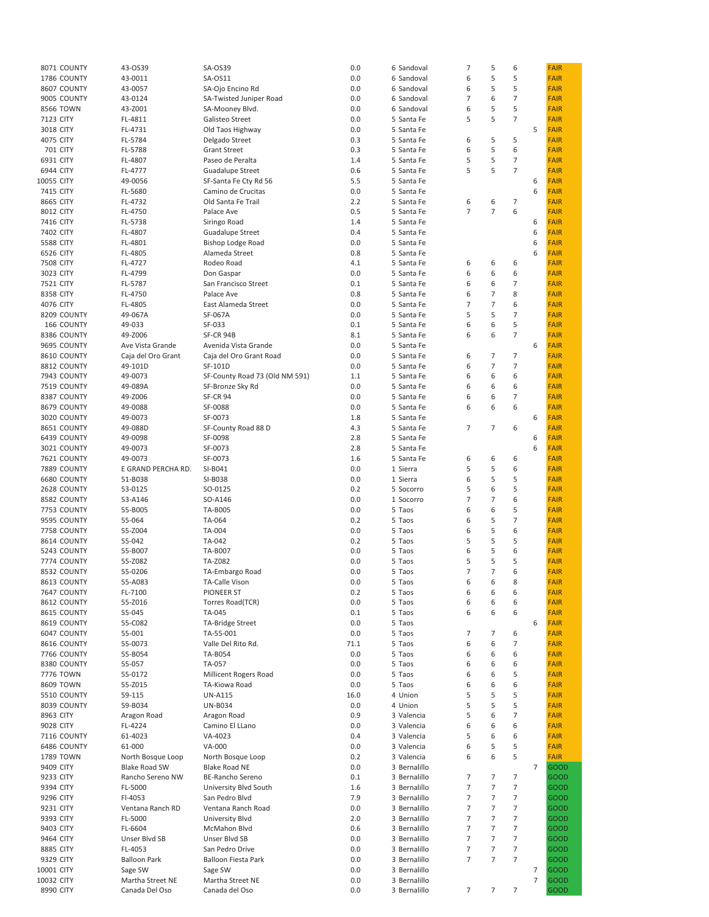|                   | 8071 COUNTY | 43-OS39              | <b>SA-OS39</b>                 | 0.0     | 6 Sandoval   | $\overline{7}$ | 5              | 6              |   | <b>FAIR</b> |
|-------------------|-------------|----------------------|--------------------------------|---------|--------------|----------------|----------------|----------------|---|-------------|
|                   | 1786 COUNTY | 43-0011              | SA-OS11                        | 0.0     | 6 Sandoval   | 6              | 5              | 5              |   | <b>FAIR</b> |
|                   | 8607 COUNTY | 43-0057              | SA-Ojo Encino Rd               | 0.0     | 6 Sandoval   | 6              | 5              | 5              |   | <b>FAIR</b> |
|                   |             |                      |                                |         |              |                |                |                |   |             |
|                   | 9005 COUNTY | 43-0124              | SA-Twisted Juniper Road        | 0.0     | 6 Sandoval   | 7              | 6              | $\overline{7}$ |   | <b>FAIR</b> |
|                   | 8566 TOWN   | 43-Z001              | SA-Mooney Blvd.                | 0.0     | 6 Sandoval   | 6              | 5              | 5              |   | <b>FAIR</b> |
| 7123 CITY         |             | FL-4811              | Galisteo Street                | 0.0     | 5 Santa Fe   | 5              | 5              | $\overline{7}$ |   | <b>FAIR</b> |
|                   |             | FL-4731              | Old Taos Highway               | 0.0     |              |                |                |                | 5 | <b>FAIR</b> |
| 3018 CITY         |             |                      |                                |         | 5 Santa Fe   |                |                |                |   |             |
| 4075 CITY         |             | FL-5784              | Delgado Street                 | 0.3     | 5 Santa Fe   | 6              | 5              | 5              |   | <b>FAIR</b> |
| <b>701 CITY</b>   |             | FL-5788              | <b>Grant Street</b>            | 0.3     | 5 Santa Fe   | 6              | 5              | 6              |   | <b>FAIR</b> |
|                   |             |                      |                                |         |              |                | 5              | $\overline{7}$ |   |             |
| 6931 CITY         |             | FL-4807              | Paseo de Peralta               | 1.4     | 5 Santa Fe   | 5              |                |                |   | <b>FAIR</b> |
| 6944 CITY         |             | FL-4777              | Guadalupe Street               | 0.6     | 5 Santa Fe   | 5              | 5              | $\overline{7}$ |   | <b>FAIR</b> |
| 10055 CITY        |             | 49-0056              | SF-Santa Fe Cty Rd 56          | 5.5     | 5 Santa Fe   |                |                |                | 6 | <b>FAIR</b> |
|                   |             |                      |                                |         |              |                |                |                | 6 |             |
| 7415 CITY         |             | FL-5680              | Camino de Crucitas             | 0.0     | 5 Santa Fe   |                |                |                |   | <b>FAIR</b> |
| 8665 CITY         |             | FL-4732              | Old Santa Fe Trail             | 2.2     | 5 Santa Fe   | 6              | 6              | 7              |   | <b>FAIR</b> |
| 8012 CITY         |             | FL-4750              | Palace Ave                     | 0.5     | 5 Santa Fe   | $\overline{7}$ | $\overline{7}$ | 6              |   | <b>FAIR</b> |
|                   |             |                      |                                |         |              |                |                |                |   |             |
| 7416 CITY         |             | FL-5738              | Siringo Road                   | 1.4     | 5 Santa Fe   |                |                |                | 6 | <b>FAIR</b> |
| 7402 CITY         |             | FL-4807              | Guadalupe Street               | 0.4     | 5 Santa Fe   |                |                |                | 6 | <b>FAIR</b> |
| <b>5588 CITY</b>  |             | FL-4801              | Bishop Lodge Road              | 0.0     | 5 Santa Fe   |                |                |                | 6 | <b>FAIR</b> |
|                   |             |                      |                                |         |              |                |                |                |   |             |
| 6526 CITY         |             | FL-4805              | Alameda Street                 | 0.8     | 5 Santa Fe   |                |                |                | 6 | <b>FAIR</b> |
| 7508 CITY         |             | FL-4727              | Rodeo Road                     | 4.1     | 5 Santa Fe   | 6              | 6              | 6              |   | <b>FAIR</b> |
| 3023 CITY         |             | FL-4799              | Don Gaspar                     | 0.0     | 5 Santa Fe   | 6              | 6              | 6              |   | <b>FAIR</b> |
|                   |             |                      |                                |         |              |                |                |                |   |             |
| 7521 CITY         |             | FL-5787              | San Francisco Street           | 0.1     | 5 Santa Fe   | 6              | 6              | $\overline{7}$ |   | <b>FAIR</b> |
| 8358 CITY         |             | FL-4750              | Palace Ave                     | 0.8     | 5 Santa Fe   | 6              | $\overline{7}$ | 8              |   | <b>FAIR</b> |
| <b>4076 CITY</b>  |             | FL-4805              | East Alameda Street            | 0.0     | 5 Santa Fe   | $\overline{7}$ | $\overline{7}$ | 6              |   | <b>FAIR</b> |
|                   |             |                      |                                |         |              |                |                |                |   |             |
|                   | 8209 COUNTY | 49-067A              | SF-067A                        | 0.0     | 5 Santa Fe   | 5              | 5              | $\overline{7}$ |   | <b>FAIR</b> |
|                   | 166 COUNTY  | 49-033               | SF-033                         | 0.1     | 5 Santa Fe   | 6              | 6              | 5              |   | <b>FAIR</b> |
|                   | 8386 COUNTY | 49-Z006              | SF-CR 94B                      | 8.1     | 5 Santa Fe   | 6              | 6              | $\overline{7}$ |   | <b>FAIR</b> |
|                   |             |                      |                                |         |              |                |                |                |   |             |
|                   | 9695 COUNTY | Ave Vista Grande     | Avenida Vista Grande           | 0.0     | 5 Santa Fe   |                |                |                | 6 | <b>FAIR</b> |
|                   | 8610 COUNTY | Caja del Oro Grant   | Caja del Oro Grant Road        | 0.0     | 5 Santa Fe   | 6              | $\overline{7}$ | $\overline{7}$ |   | <b>FAIR</b> |
|                   |             | 49-101D              |                                | 0.0     | 5 Santa Fe   | 6              | $\overline{7}$ | $\overline{7}$ |   | <b>FAIR</b> |
|                   | 8812 COUNTY |                      | SF-101D                        |         |              |                |                |                |   |             |
|                   | 7943 COUNTY | 49-0073              | SF-County Road 73 (Old NM 591) | 1.1     | 5 Santa Fe   | 6              | 6              | 6              |   | <b>FAIR</b> |
|                   | 7519 COUNTY | 49-089A              | SF-Bronze Sky Rd               | 0.0     | 5 Santa Fe   | 6              | 6              | 6              |   | <b>FAIR</b> |
|                   |             | 49-Z006              |                                |         |              | 6              | 6              | $\overline{7}$ |   |             |
|                   | 8387 COUNTY |                      | <b>SF-CR 94</b>                | 0.0     | 5 Santa Fe   |                |                |                |   | <b>FAIR</b> |
|                   | 8679 COUNTY | 49-0088              | SF-0088                        | 0.0     | 5 Santa Fe   | 6              | 6              | 6              |   | <b>FAIR</b> |
|                   | 3020 COUNTY | 49-0073              | SF-0073                        | 1.8     | 5 Santa Fe   |                |                |                | 6 | <b>FAIR</b> |
|                   |             |                      |                                |         |              |                |                |                |   |             |
|                   | 8651 COUNTY | 49-088D              | SF-County Road 88 D            | 4.3     | 5 Santa Fe   | 7              | $\overline{7}$ | 6              |   | <b>FAIR</b> |
|                   | 6439 COUNTY | 49-0098              | SF-0098                        | 2.8     | 5 Santa Fe   |                |                |                | 6 | <b>FAIR</b> |
|                   | 3021 COUNTY | 49-0073              | SF-0073                        | 2.8     | 5 Santa Fe   |                |                |                | 6 | <b>FAIR</b> |
|                   |             |                      |                                |         |              |                |                |                |   |             |
|                   | 7621 COUNTY | 49-0073              | SF-0073                        | 1.6     | 5 Santa Fe   | 6              | 6              | 6              |   | <b>FAIR</b> |
|                   | 7889 COUNTY | E GRAND PERCHA RD.   | SI-B041                        | 0.0     | 1 Sierra     | 5              | 5              | 6              |   | <b>FAIR</b> |
|                   | 6680 COUNTY | 51-B038              | SI-B038                        | 0.0     | 1 Sierra     | 6              | 5              | 5              |   | <b>FAIR</b> |
|                   |             |                      |                                |         |              |                |                |                |   |             |
|                   | 2628 COUNTY | 53-0125              | SO-0125                        | 0.2     | 5 Socorro    | 5              | 6              | 5              |   | <b>FAIR</b> |
|                   | 8582 COUNTY | 53-A146              | SO-A146                        | 0.0     | 1 Socorro    | 7              | $\overline{7}$ | 6              |   | <b>FAIR</b> |
|                   | 7753 COUNTY |                      |                                | 0.0     |              | 6              | 6              | 5              |   | <b>FAIR</b> |
|                   |             | 55-B005              | <b>TA-B005</b>                 |         | 5 Taos       |                |                |                |   |             |
|                   | 9595 COUNTY | 55-064               | TA-064                         | 0.2     | 5 Taos       | 6              | 5              | $\overline{7}$ |   | <b>FAIR</b> |
|                   | 7758 COUNTY | 55-Z004              | TA-004                         | 0.0     | 5 Taos       | 6              | 5              | 6              |   | <b>FAIR</b> |
|                   |             |                      |                                |         |              |                |                |                |   |             |
|                   | 8614 COUNTY | 55-042               | TA-042                         | 0.2     | 5 Taos       | 5              | 5              | 5              |   | <b>FAIR</b> |
|                   | 5243 COUNTY | 55-B007              | <b>TA-B007</b>                 | 0.0     | 5 Taos       | 6              | 5              | 6              |   | <b>FAIR</b> |
|                   | 7774 COUNTY | 55-Z082              | TA-Z082                        | 0.0     | 5 Taos       | 5              | 5              | 5              |   | <b>FAIR</b> |
|                   |             |                      |                                |         |              |                |                |                |   |             |
|                   | 8532 COUNTY | 55-0206              | TA-Embargo Road                | 0.0     | 5 Taos       | $\overline{7}$ | $\overline{7}$ | 6              |   | <b>FAIR</b> |
|                   | 8613 COUNTY | 55-A083              | TA-Calle Vison                 | $0.0\,$ | 5 Taos       | 6              | 6              | 8              |   | FAIR        |
|                   | 7647 COUNTY | FL-7100              | PIONEER ST                     | 0.2     | 5 Taos       | 6              | 6              | 6              |   | <b>FAIR</b> |
|                   |             |                      |                                |         |              |                |                |                |   |             |
|                   | 8612 COUNTY | 55-Z016              | Torres Road(TCR)               | 0.0     | 5 Taos       | 6              | 6              | 6              |   | <b>FAIR</b> |
|                   | 8615 COUNTY | 55-045               | TA-045                         | 0.1     | 5 Taos       | 6              | 6              | 6              |   | <b>FAIR</b> |
|                   | 8619 COUNTY | 55-C082              | <b>TA-Bridge Street</b>        | 0.0     | 5 Taos       |                |                |                | 6 | <b>FAIR</b> |
|                   |             |                      |                                |         |              |                |                |                |   |             |
|                   | 6047 COUNTY | 55-001               | TA-55-001                      | 0.0     | 5 Taos       | 7              | 7              | 6              |   | <b>FAIR</b> |
|                   | 8616 COUNTY | 55-0073              | Valle Del Rito Rd.             | 71.1    | 5 Taos       | 6              | 6              | $\overline{7}$ |   | <b>FAIR</b> |
|                   | 7766 COUNTY | 55-B054              | <b>TA-B054</b>                 | 0.0     | 5 Taos       | 6              | 6              | 6              |   | <b>FAIR</b> |
|                   |             |                      |                                |         |              |                |                |                |   |             |
|                   | 8380 COUNTY | 55-057               | TA-057                         | 0.0     | 5 Taos       | 6              | 6              | 6              |   | <b>FAIR</b> |
|                   | 7776 TOWN   | 55-0172              | Millicent Rogers Road          | 0.0     | 5 Taos       | 6              | 6              | 5              |   | <b>FAIR</b> |
|                   | 8609 TOWN   | 55-Z015              | TA-Kiowa Road                  | 0.0     | 5 Taos       | 6              | 6              | 6              |   | <b>FAIR</b> |
|                   |             |                      |                                |         |              |                |                |                |   |             |
|                   | 5510 COUNTY | 59-115               | <b>UN-A115</b>                 | 16.0    | 4 Union      | 5              | 5              | 5              |   | <b>FAIR</b> |
|                   | 8039 COUNTY | 59-B034              | <b>UN-B034</b>                 | 0.0     | 4 Union      | 5              | 5              | 5              |   | <b>FAIR</b> |
| 8963 CITY         |             | Aragon Road          | Aragon Road                    | 0.9     | 3 Valencia   | 5              | 6              | $\overline{7}$ |   | <b>FAIR</b> |
|                   |             |                      |                                |         |              |                |                |                |   |             |
| 9028 CITY         |             | FL-4224              | Camino El LLano                | 0.0     | 3 Valencia   | 6              | 6              | 6              |   | <b>FAIR</b> |
|                   | 7116 COUNTY | 61-4023              | VA-4023                        | 0.4     | 3 Valencia   | 5              | 6              | 6              |   | <b>FAIR</b> |
|                   | 6486 COUNTY | 61-000               | VA-000                         | 0.0     | 3 Valencia   | 6              | 5              | 5              |   | <b>FAIR</b> |
|                   |             |                      |                                |         |              |                |                |                |   |             |
|                   | 1789 TOWN   | North Bosque Loop    | North Bosque Loop              | 0.2     | 3 Valencia   | 6              | 6              | 5              |   | <b>FAIR</b> |
| 9409 CITY         |             | <b>Blake Road SW</b> | <b>Blake Road NE</b>           | 0.0     | 3 Bernalillo |                |                |                | 7 | <b>GOOD</b> |
| 9233 CITY         |             | Rancho Sereno NW     | BE-Rancho Sereno               | 0.1     | 3 Bernalillo | 7              | 7              | $\overline{7}$ |   | GOOD        |
|                   |             |                      |                                |         |              |                |                |                |   |             |
| 9394 CITY         |             | FL-5000              | University Blvd South          | 1.6     | 3 Bernalillo | 7              | 7              | $\overline{7}$ |   | <b>GOOD</b> |
| 9296 CITY         |             | FI-4053              | San Pedro Blvd                 | 7.9     | 3 Bernalillo | $\overline{7}$ | 7              | $\overline{7}$ |   | <b>GOOD</b> |
|                   |             |                      |                                |         |              |                |                |                |   |             |
| 9231 CITY         |             | Ventana Ranch RD     | Ventana Ranch Road             | 0.0     | 3 Bernalillo | 7              | 7              | $\overline{7}$ |   | GOOD        |
| 9393 CITY         |             | FL-5000              | University Blvd                | 2.0     | 3 Bernalillo | 7              | $\overline{7}$ | $\overline{7}$ |   | GOOD        |
| 9403 CITY         |             | FL-6604              | McMahon Blvd                   | 0.6     | 3 Bernalillo | 7              | 7              | $\overline{7}$ |   | GOOD        |
|                   |             |                      |                                |         |              |                |                |                |   |             |
| 9464 CITY         |             | Unser Blvd SB        | Unser Blvd SB                  | 0.0     | 3 Bernalillo | $\overline{7}$ | $\overline{7}$ | $\overline{7}$ |   | <b>GOOD</b> |
| 8885 CITY         |             | FL-4053              | San Pedro Drive                | 0.0     | 3 Bernalillo | 7              | $\overline{7}$ | $\overline{7}$ |   | GOOD        |
| 9329 CITY         |             | <b>Balloon Park</b>  | Balloon Fiesta Park            | 0.0     | 3 Bernalillo | $\overline{7}$ | $\overline{7}$ | $\overline{7}$ |   | GOOD        |
|                   |             |                      |                                |         |              |                |                |                |   |             |
| <b>10001 CITY</b> |             | Sage SW              | Sage SW                        | 0.0     | 3 Bernalillo |                |                |                | 7 | GOOD        |
| 10032 CITY        |             | Martha Street NE     | Martha Street NE               | 0.0     | 3 Bernalillo |                |                |                | 7 | GOOD        |
| 8990 CITY         |             | Canada Del Oso       | Canada del Oso                 | 0.0     | 3 Bernalillo | 7              | 7              | 7              |   | <b>GOOD</b> |
|                   |             |                      |                                |         |              |                |                |                |   |             |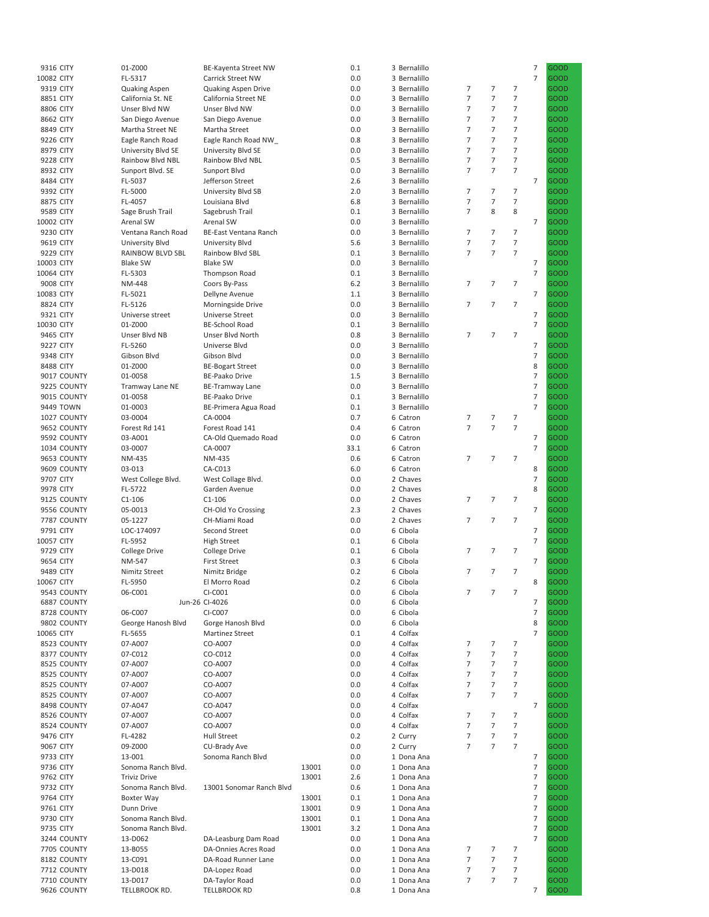| 9316 CITY        |             | 01-Z000              | BE-Kayenta Street NW     |       | 0.1  | 3 Bernalillo |                |                |                          | $\overline{7}$ | GOOD        |
|------------------|-------------|----------------------|--------------------------|-------|------|--------------|----------------|----------------|--------------------------|----------------|-------------|
| 10082 CITY       |             | FL-5317              | Carrick Street NW        |       | 0.0  | 3 Bernalillo |                |                |                          | $\overline{7}$ | <b>GOOD</b> |
| 9319 CITY        |             | <b>Quaking Aspen</b> | Quaking Aspen Drive      |       | 0.0  | 3 Bernalillo | 7              | 7              | $\overline{7}$           |                | <b>GOOD</b> |
| 8851 CITY        |             | California St. NE    | California Street NE     |       | 0.0  | 3 Bernalillo | 7              | $\overline{7}$ | 7                        |                | <b>GOOD</b> |
|                  |             | Unser Blvd NW        |                          |       | 0.0  | 3 Bernalillo | 7              | $\overline{7}$ | 7                        |                | <b>GOOD</b> |
| 8806 CITY        |             |                      | Unser Blvd NW            |       |      |              |                |                |                          |                |             |
| 8662 CITY        |             | San Diego Avenue     | San Diego Avenue         |       | 0.0  | 3 Bernalillo | $\overline{7}$ | $\overline{7}$ | $\overline{7}$           |                | <b>GOOD</b> |
| 8849 CITY        |             | Martha Street NE     | Martha Street            |       | 0.0  | 3 Bernalillo | $\overline{7}$ | $\overline{7}$ | $\overline{7}$           |                | <b>GOOD</b> |
| 9226 CITY        |             | Eagle Ranch Road     | Eagle Ranch Road NW_     |       | 0.8  | 3 Bernalillo | 7              | $\overline{7}$ | $\overline{7}$           |                | <b>GOOD</b> |
| 8979 CITY        |             | University Blvd SE   | University Blvd SE       |       | 0.0  | 3 Bernalillo | $\overline{7}$ | $\overline{7}$ | $\overline{7}$           |                | <b>GOOD</b> |
|                  |             |                      |                          |       |      |              |                |                |                          |                |             |
| 9228 CITY        |             | Rainbow Blvd NBL     | Rainbow Blvd NBL         |       | 0.5  | 3 Bernalillo | 7              | $\overline{7}$ | $\overline{7}$           |                | <b>GOOD</b> |
| 8932 CITY        |             | Sunport Blvd. SE     | Sunport Blvd             |       | 0.0  | 3 Bernalillo | $\overline{7}$ | $\overline{7}$ | $\overline{7}$           |                | <b>GOOD</b> |
| 8484 CITY        |             | FL-5037              | Jefferson Street         |       | 2.6  | 3 Bernalillo |                |                |                          | 7              | <b>GOOD</b> |
| 9392 CITY        |             | FL-5000              | University Blvd SB       |       | 2.0  | 3 Bernalillo | 7              | $\overline{7}$ | $\overline{7}$           |                | <b>GOOD</b> |
|                  |             |                      |                          |       |      |              |                |                |                          |                |             |
| 8875 CITY        |             | FL-4057              | Louisiana Blvd           |       | 6.8  | 3 Bernalillo | 7              | $\overline{7}$ | $\overline{7}$           |                | <b>GOOD</b> |
| 9589 CITY        |             | Sage Brush Trail     | Sagebrush Trail          |       | 0.1  | 3 Bernalillo | $\overline{7}$ | 8              | 8                        |                | <b>GOOD</b> |
| 10002 CITY       |             | Arenal SW            | Arenal SW                |       | 0.0  | 3 Bernalillo |                |                |                          | 7              | <b>GOOD</b> |
| 9230 CITY        |             | Ventana Ranch Road   | BE-East Ventana Ranch    |       | 0.0  | 3 Bernalillo | $\overline{7}$ | $\overline{7}$ | 7                        |                | <b>GOOD</b> |
|                  |             |                      |                          |       | 5.6  | 3 Bernalillo | $\overline{7}$ | $\overline{7}$ | $\overline{7}$           |                | <b>GOOD</b> |
| 9619 CITY        |             | University Blvd      | University Blvd          |       |      |              |                |                |                          |                |             |
| 9229 CITY        |             | RAINBOW BLVD SBL     | Rainbow Blvd SBL         |       | 0.1  | 3 Bernalillo | $\overline{7}$ | $\overline{7}$ | $\overline{7}$           |                | <b>GOOD</b> |
| 10003 CITY       |             | <b>Blake SW</b>      | <b>Blake SW</b>          |       | 0.0  | 3 Bernalillo |                |                |                          | 7              | <b>GOOD</b> |
| 10064 CITY       |             | FL-5303              | Thompson Road            |       | 0.1  | 3 Bernalillo |                |                |                          | $\overline{7}$ | <b>GOOD</b> |
| <b>9008 CITY</b> |             | <b>NM-448</b>        |                          |       | 6.2  | 3 Bernalillo | $\overline{7}$ | $\overline{7}$ | $\overline{7}$           |                | <b>GOOD</b> |
|                  |             |                      | Coors By-Pass            |       |      |              |                |                |                          |                |             |
| 10083 CITY       |             | FL-5021              | Dellyne Avenue           |       | 1.1  | 3 Bernalillo |                |                |                          | $\overline{7}$ | <b>GOOD</b> |
| 8824 CITY        |             | FL-5126              | Morningside Drive        |       | 0.0  | 3 Bernalillo | $\overline{7}$ | $\overline{7}$ | $\overline{7}$           |                | <b>GOOD</b> |
| 9321 CITY        |             | Universe street      | Universe Street          |       | 0.0  | 3 Bernalillo |                |                |                          | 7              | <b>GOOD</b> |
| 10030 CITY       |             | 01-Z000              | <b>BE-School Road</b>    |       | 0.1  | 3 Bernalillo |                |                |                          | $\overline{7}$ | <b>GOOD</b> |
|                  |             |                      |                          |       |      |              |                |                |                          |                |             |
| 9465 CITY        |             | Unser Blvd NB        | Unser Blvd North         |       | 0.8  | 3 Bernalillo | 7              | $\overline{7}$ | $\overline{7}$           |                | <b>GOOD</b> |
| <b>9227 CITY</b> |             | FL-5260              | Universe Blvd            |       | 0.0  | 3 Bernalillo |                |                |                          | 7              | <b>GOOD</b> |
| 9348 CITY        |             | Gibson Blvd          | Gibson Blvd              |       | 0.0  | 3 Bernalillo |                |                |                          | $\overline{7}$ | <b>GOOD</b> |
| 8488 CITY        |             | 01-Z000              | <b>BE-Bogart Street</b>  |       | 0.0  | 3 Bernalillo |                |                |                          | 8              | <b>GOOD</b> |
|                  |             |                      |                          |       |      |              |                |                |                          |                |             |
|                  | 9017 COUNTY | 01-0058              | <b>BE-Paako Drive</b>    |       | 1.5  | 3 Bernalillo |                |                |                          | $\overline{7}$ | <b>GOOD</b> |
|                  | 9225 COUNTY | Tramway Lane NE      | BE-Tramway Lane          |       | 0.0  | 3 Bernalillo |                |                |                          | $\overline{7}$ | <b>GOOD</b> |
|                  | 9015 COUNTY | 01-0058              | <b>BE-Paako Drive</b>    |       | 0.1  | 3 Bernalillo |                |                |                          | 7              | <b>GOOD</b> |
|                  | 9449 TOWN   | 01-0003              | BE-Primera Agua Road     |       | 0.1  | 3 Bernalillo |                |                |                          | 7              | <b>GOOD</b> |
|                  |             |                      |                          |       |      |              |                |                |                          |                |             |
|                  | 1027 COUNTY | 03-0004              | CA-0004                  |       | 0.7  | 6 Catron     | 7              | 7              | $\overline{7}$           |                | <b>GOOD</b> |
|                  | 9652 COUNTY | Forest Rd 141        | Forest Road 141          |       | 0.4  | 6 Catron     | 7              | $\overline{7}$ | $\overline{7}$           |                | <b>GOOD</b> |
|                  | 9592 COUNTY | 03-A001              | CA-Old Quemado Road      |       | 0.0  | 6 Catron     |                |                |                          | 7              | <b>GOOD</b> |
|                  | 1034 COUNTY | 03-0007              | CA-0007                  |       | 33.1 | 6 Catron     |                |                |                          | 7              | <b>GOOD</b> |
|                  |             |                      |                          |       |      |              |                |                | $\overline{7}$           |                |             |
|                  | 9653 COUNTY | NM-435               | NM-435                   |       | 0.6  | 6 Catron     | $\overline{7}$ | $\overline{7}$ |                          |                | <b>GOOD</b> |
|                  | 9609 COUNTY | 03-013               | CA-C013                  |       | 6.0  | 6 Catron     |                |                |                          | 8              | <b>GOOD</b> |
| 9707 CITY        |             | West College Blvd.   | West Collage Blvd.       |       | 0.0  | 2 Chaves     |                |                |                          | $\overline{7}$ | <b>GOOD</b> |
| 9978 CITY        |             | FL-5722              | Garden Avenue            |       | 0.0  | 2 Chaves     |                |                |                          | 8              | <b>GOOD</b> |
|                  | 9125 COUNTY | $C1 - 106$           | $C1-106$                 |       | 0.0  | 2 Chaves     | 7              | $\overline{7}$ | $\overline{7}$           |                | <b>GOOD</b> |
|                  |             |                      |                          |       |      |              |                |                |                          |                |             |
|                  | 9556 COUNTY | 05-0013              | CH-Old Yo Crossing       |       | 2.3  | 2 Chaves     |                |                |                          | 7              | <b>GOOD</b> |
|                  | 7787 COUNTY | 05-1227              | CH-Miami Road            |       | 0.0  | 2 Chaves     | $\overline{7}$ | $\overline{7}$ | $\overline{7}$           |                | <b>GOOD</b> |
| 9791 CITY        |             | LOC-174097           | Second Street            |       | 0.0  | 6 Cibola     |                |                |                          | 7              | <b>GOOD</b> |
|                  |             | FL-5952              |                          |       | 0.1  | 6 Cibola     |                |                |                          | $\overline{7}$ | <b>GOOD</b> |
| 10057 CITY       |             |                      | <b>High Street</b>       |       |      |              |                |                |                          |                |             |
| 9729 CITY        |             | College Drive        | College Drive            |       | 0.1  | 6 Cibola     | 7              | $\overline{7}$ | $\overline{7}$           |                | <b>GOOD</b> |
| 9654 CITY        |             | NM-547               | <b>First Street</b>      |       | 0.3  | 6 Cibola     |                |                |                          | 7              | <b>GOOD</b> |
| 9489 CITY        |             | Nimitz Street        | Nimitz Bridge            |       | 0.2  | 6 Cibola     | 7              | $\overline{7}$ | $\overline{7}$           |                | <b>GOOD</b> |
| 10067 CITY       |             | FL-5950              | El Morro Road            |       | 0.2  | 6 Cibola     |                |                |                          | 8              | GOOD        |
|                  |             |                      |                          |       |      |              |                |                |                          |                |             |
|                  | 9543 COUNTY | 06-C001              | CI-C001                  |       | 0.0  | 6 Cibola     | $\overline{7}$ | 7              | 7                        |                | GOOD        |
|                  | 6887 COUNTY |                      | Jun-26 CI-4026           |       | 0.0  | 6 Cibola     |                |                |                          | 7              | <b>GOOD</b> |
|                  | 8728 COUNTY | 06-C007              | CI-C007                  |       | 0.0  | 6 Cibola     |                |                |                          | 7              | <b>GOOD</b> |
|                  | 9802 COUNTY | George Hanosh Blvd   | Gorge Hanosh Blvd        |       | 0.0  | 6 Cibola     |                |                |                          | 8              | GOOD        |
|                  |             |                      |                          |       |      |              |                |                |                          |                |             |
| 10065 CITY       |             | FL-5655              | Martinez Street          |       | 0.1  | 4 Colfax     |                |                |                          | 7              | GOOD        |
|                  | 8523 COUNTY | 07-A007              | CO-A007                  |       | 0.0  | 4 Colfax     | 7              | 7              | 7                        |                | GOOD        |
|                  | 8377 COUNTY | 07-C012              | CO-C012                  |       | 0.0  | 4 Colfax     | 7              | 7              | $\overline{7}$           |                | GOOD        |
|                  | 8525 COUNTY | 07-A007              | CO-A007                  |       | 0.0  | 4 Colfax     | $\overline{7}$ | 7              | $\overline{7}$           |                | GOOD        |
|                  |             |                      | CO-A007                  |       | 0.0  | 4 Colfax     | 7              | 7              | $\overline{7}$           |                |             |
|                  | 8525 COUNTY | 07-A007              |                          |       |      |              |                |                |                          |                | GOOD        |
|                  | 8525 COUNTY | 07-A007              | CO-A007                  |       | 0.0  | 4 Colfax     | 7              | 7              | $\overline{7}$           |                | <b>GOOD</b> |
|                  | 8525 COUNTY | 07-A007              | CO-A007                  |       | 0.0  | 4 Colfax     | $\overline{7}$ | 7              | $\overline{7}$           |                | <b>GOOD</b> |
|                  | 8498 COUNTY | 07-A047              | CO-A047                  |       | 0.0  | 4 Colfax     |                |                |                          | 7              | <b>GOOD</b> |
|                  | 8526 COUNTY | 07-A007              | CO-A007                  |       | 0.0  | 4 Colfax     | 7              | 7              | 7                        |                | GOOD        |
|                  |             |                      |                          |       |      |              |                |                |                          |                |             |
|                  | 8524 COUNTY | 07-A007              | CO-A007                  |       | 0.0  | 4 Colfax     | 7              | 7              | $\overline{7}$           |                | <b>GOOD</b> |
| 9476 CITY        |             | FL-4282              | <b>Hull Street</b>       |       | 0.2  | 2 Curry      | $\overline{7}$ | 7              | $\overline{7}$           |                | <b>GOOD</b> |
| 9067 CITY        |             | 09-Z000              | CU-Brady Ave             |       | 0.0  | 2 Curry      | $\overline{7}$ | $\overline{7}$ | $\overline{7}$           |                | GOOD        |
| 9733 CITY        |             | 13-001               | Sonoma Ranch Blvd        |       | 0.0  | 1 Dona Ana   |                |                |                          | 7              | <b>GOOD</b> |
|                  |             |                      |                          |       |      |              |                |                |                          |                |             |
| 9736 CITY        |             | Sonoma Ranch Blvd.   |                          | 13001 | 0.0  | 1 Dona Ana   |                |                |                          | 7              | <b>GOOD</b> |
| 9762 CITY        |             | <b>Triviz Drive</b>  |                          | 13001 | 2.6  | 1 Dona Ana   |                |                |                          | 7              | GOOD        |
| 9732 CITY        |             | Sonoma Ranch Blvd.   | 13001 Sonomar Ranch Blvd |       | 0.6  | 1 Dona Ana   |                |                |                          | 7              | GOOD        |
| 9764 CITY        |             | Boxter Way           |                          | 13001 | 0.1  | 1 Dona Ana   |                |                |                          | 7              | <b>GOOD</b> |
|                  |             |                      |                          |       | 0.9  |              |                |                |                          | 7              |             |
| 9761 CITY        |             | Dunn Drive           |                          | 13001 |      | 1 Dona Ana   |                |                |                          |                | GOOD        |
| 9730 CITY        |             | Sonoma Ranch Blvd.   |                          | 13001 | 0.1  | 1 Dona Ana   |                |                |                          | 7              | <b>GOOD</b> |
| 9735 CITY        |             | Sonoma Ranch Blvd.   |                          | 13001 | 3.2  | 1 Dona Ana   |                |                |                          | 7              | <b>GOOD</b> |
|                  | 3244 COUNTY | 13-D062              | DA-Leasburg Dam Road     |       | 0.0  | 1 Dona Ana   |                |                |                          | 7              | <b>GOOD</b> |
|                  | 7705 COUNTY | 13-B055              | DA-Onnies Acres Road     |       | 0.0  | 1 Dona Ana   | 7              | 7              | 7                        |                | <b>GOOD</b> |
|                  |             |                      |                          |       |      |              |                |                |                          |                |             |
|                  | 8182 COUNTY | 13-C091              | DA-Road Runner Lane      |       | 0.0  | 1 Dona Ana   | 7              | 7              | $\overline{7}$           |                | GOOD        |
|                  | 7712 COUNTY | 13-D018              | DA-Lopez Road            |       | 0.0  | 1 Dona Ana   | 7              | 7              | $\overline{\phantom{a}}$ |                | <b>GOOD</b> |
|                  | 7710 COUNTY | 13-D017              | DA-Taylor Road           |       | 0.0  | 1 Dona Ana   | 7              | 7              | 7                        |                | GOOD        |
|                  | 9626 COUNTY | TELLBROOK RD.        | TELLBROOK RD             |       | 0.8  | 1 Dona Ana   |                |                |                          | 7              | <b>GOOD</b> |
|                  |             |                      |                          |       |      |              |                |                |                          |                |             |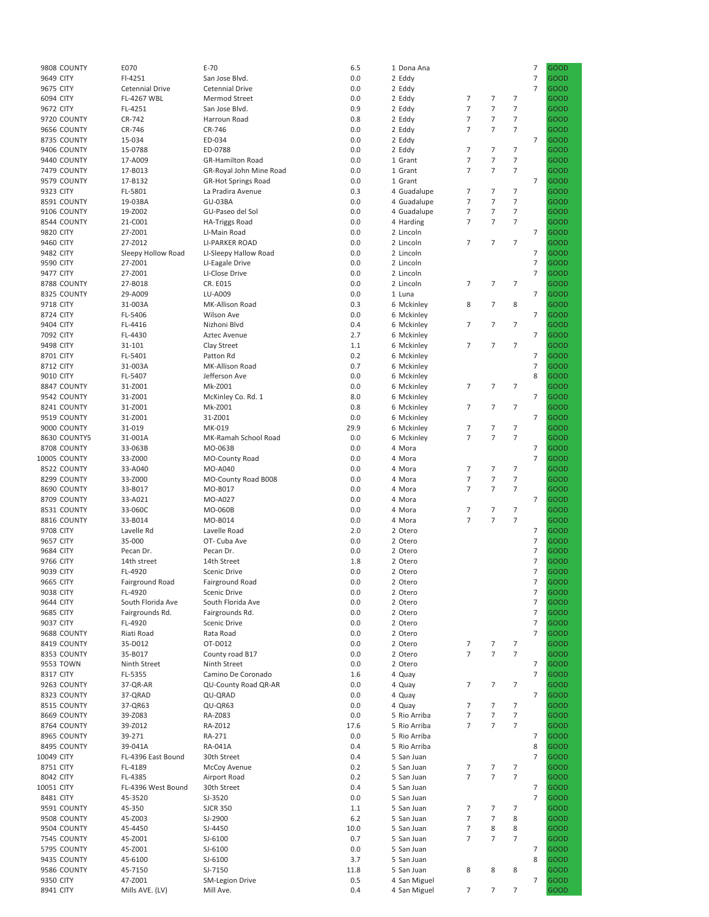| 9808 COUNTY            | E070                       | $E-70$                              | 6.5        | 1 Dona Ana                   |                |                |                | $\overline{7}$ | GOOD                |
|------------------------|----------------------------|-------------------------------------|------------|------------------------------|----------------|----------------|----------------|----------------|---------------------|
|                        |                            |                                     |            |                              |                |                |                |                |                     |
| 9649 CITY              | FI-4251                    | San Jose Blvd.                      | 0.0        | 2 Eddy                       |                |                |                | $\overline{7}$ | <b>GOOD</b>         |
| 9675 CITY              | Cetennial Drive            | <b>Cetennial Drive</b>              | 0.0        | 2 Eddy                       |                |                |                | $\overline{7}$ | <b>GOOD</b>         |
| 6094 CITY              | <b>FL-4267 WBL</b>         | Mermod Street                       | 0.0        | 2 Eddy                       | 7              | 7              | $\overline{7}$ |                | <b>GOOD</b>         |
| 9672 CITY              | FL-4251                    | San Jose Blvd.                      | 0.9        | 2 Eddy                       | $\overline{7}$ | $\overline{7}$ | $\overline{7}$ |                | <b>GOOD</b>         |
|                        |                            |                                     |            |                              |                |                |                |                |                     |
| 9720 COUNTY            | CR-742                     | Harroun Road                        | 0.8        | 2 Eddy                       | $\overline{7}$ | $\overline{7}$ | $\overline{7}$ |                | <b>GOOD</b>         |
| 9656 COUNTY            | CR-746                     | CR-746                              | 0.0        | 2 Eddy                       | $\overline{7}$ | $\overline{7}$ | $\overline{7}$ |                | <b>GOOD</b>         |
| 8735 COUNTY            | 15-034                     | ED-034                              | 0.0        | 2 Eddy                       |                |                |                | 7              | <b>GOOD</b>         |
|                        |                            |                                     |            |                              |                | $\overline{7}$ |                |                | <b>GOOD</b>         |
| 9406 COUNTY            | 15-0788                    | ED-0788                             | 0.0        | 2 Eddy                       | $\overline{7}$ |                | 7              |                |                     |
| 9440 COUNTY            | 17-A009                    | <b>GR-Hamilton Road</b>             | 0.0        | 1 Grant                      | $\overline{7}$ | $\overline{7}$ | $\overline{7}$ |                | <b>GOOD</b>         |
| 7479 COUNTY            | 17-B013                    | GR-Royal John Mine Road             | 0.0        | 1 Grant                      | $\overline{7}$ | $\overline{7}$ | $\overline{7}$ |                | GOOD                |
| 9579 COUNTY            | 17-B132                    | <b>GR-Hot Springs Road</b>          | 0.0        | 1 Grant                      |                |                |                | $\overline{7}$ | <b>GOOD</b>         |
|                        |                            |                                     |            |                              |                |                |                |                |                     |
| 9323 CITY              | FL-5801                    | La Pradira Avenue                   | 0.3        | 4 Guadalupe                  | 7              | 7              | $\overline{7}$ |                | <b>GOOD</b>         |
| 8591 COUNTY            | 19-03BA                    | GU-03BA                             | 0.0        | 4 Guadalupe                  | $\overline{7}$ | $\overline{7}$ | $\overline{7}$ |                | <b>GOOD</b>         |
| 9106 COUNTY            | 19-Z002                    | GU-Paseo del Sol                    | 0.0        | 4 Guadalupe                  | $\overline{7}$ | $\overline{7}$ | $\overline{7}$ |                | <b>GOOD</b>         |
|                        |                            |                                     |            |                              |                |                |                |                |                     |
| 8544 COUNTY            | 21-C001                    | <b>HA-Triggs Road</b>               | 0.0        | 4 Harding                    | $\overline{7}$ | $\overline{7}$ | $\overline{7}$ |                | <b>GOOD</b>         |
| 9820 CITY              | 27-Z001                    | LI-Main Road                        | 0.0        | 2 Lincoln                    |                |                |                | 7              | <b>GOOD</b>         |
| 9460 CITY              | 27-Z012                    | <b>LI-PARKER ROAD</b>               | 0.0        | 2 Lincoln                    | 7              | 7              | $\overline{7}$ |                | <b>GOOD</b>         |
|                        |                            |                                     |            |                              |                |                |                |                |                     |
| 9482 CITY              | Sleepy Hollow Road         | LI-Sleepy Hallow Road               | 0.0        | 2 Lincoln                    |                |                |                | 7              | <b>GOOD</b>         |
| 9590 CITY              | 27-Z001                    | LI-Eagale Drive                     | 0.0        | 2 Lincoln                    |                |                |                | 7              | <b>GOOD</b>         |
| 9477 CITY              | 27-Z001                    | LI-Close Drive                      | 0.0        | 2 Lincoln                    |                |                |                | 7              | <b>GOOD</b>         |
|                        |                            |                                     |            |                              |                |                |                |                |                     |
| 8788 COUNTY            | 27-B018                    | CR. E015                            | 0.0        | 2 Lincoln                    | $\overline{7}$ | 7              | $\overline{7}$ |                | <b>GOOD</b>         |
| 8325 COUNTY            | 29-A009                    | LU-A009                             | 0.0        | 1 Luna                       |                |                |                | 7              | <b>GOOD</b>         |
| 9718 CITY              | 31-003A                    | MK-Allison Road                     | 0.3        | 6 Mckinley                   | 8              | 7              | 8              |                | <b>GOOD</b>         |
|                        |                            | <b>Wilson Ave</b>                   | 0.0        |                              |                |                |                | 7              | <b>GOOD</b>         |
| 8724 CITY              | FL-5406                    |                                     |            | 6 Mckinley                   |                |                |                |                |                     |
| 9404 CITY              | FL-4416                    | Nizhoni Blvd                        | 0.4        | 6 Mckinley                   | 7              | 7              | $\overline{7}$ |                | <b>GOOD</b>         |
| 7092 CITY              | FL-4430                    | Aztec Avenue                        | 2.7        | 6 Mckinley                   |                |                |                | 7              | <b>GOOD</b>         |
| 9498 CITY              | 31-101                     | Clay Street                         | 1.1        | 6 Mckinley                   | $\overline{7}$ | $\overline{7}$ | $\overline{7}$ |                | <b>GOOD</b>         |
|                        |                            |                                     |            |                              |                |                |                |                |                     |
| 8701 CITY              | FL-5401                    | Patton Rd                           | 0.2        | 6 Mckinley                   |                |                |                | 7              | <b>GOOD</b>         |
| 8712 CITY              | 31-003A                    | MK-Allison Road                     | 0.7        | 6 Mckinley                   |                |                |                | $\overline{7}$ | <b>GOOD</b>         |
| <b>9010 CITY</b>       | FL-5407                    | Jefferson Ave                       | 0.0        | 6 Mckinley                   |                |                |                | 8              | <b>GOOD</b>         |
|                        |                            |                                     |            |                              |                |                |                |                |                     |
| 8847 COUNTY            | 31-Z001                    | Mk-Z001                             | 0.0        | 6 Mckinley                   | $\overline{7}$ | 7              | $\overline{7}$ |                | <b>GOOD</b>         |
| 9542 COUNTY            | 31-Z001                    | McKinley Co. Rd. 1                  | 8.0        | 6 Mckinley                   |                |                |                | 7              | <b>GOOD</b>         |
| 8241 COUNTY            | 31-Z001                    | Mk-Z001                             | 0.8        | 6 Mckinley                   | 7              | 7              | 7              |                | <b>GOOD</b>         |
|                        |                            |                                     |            |                              |                |                |                |                |                     |
| 9519 COUNTY            | 31-Z001                    | 31-Z001                             | 0.0        | 6 Mckinley                   |                |                |                | $\overline{7}$ | <b>GOOD</b>         |
| 9000 COUNTY            | 31-019                     | MK-019                              | 29.9       | 6 Mckinley                   | 7              | 7              | $\overline{7}$ |                | <b>GOOD</b>         |
| 8630 COUNTY5           | 31-001A                    | MK-Ramah School Road                | 0.0        | 6 Mckinley                   | $\overline{7}$ | $\overline{7}$ | $\overline{7}$ |                | <b>GOOD</b>         |
|                        |                            |                                     |            |                              |                |                |                |                |                     |
| 8708 COUNTY            | 33-063B                    | MO-063B                             | 0.0        | 4 Mora                       |                |                |                | 7              | GOOD                |
| 10005 COUNTY           | 33-Z000                    | MO-County Road                      | 0.0        | 4 Mora                       |                |                |                | $\overline{7}$ | <b>GOOD</b>         |
| 8522 COUNTY            | 33-A040                    | MO-A040                             | 0.0        | 4 Mora                       | $\overline{7}$ | 7              | $\overline{7}$ |                | <b>GOOD</b>         |
|                        |                            |                                     |            |                              | $\overline{7}$ | $\overline{7}$ | $\overline{7}$ |                |                     |
| 8299 COUNTY            | 33-Z000                    | MO-County Road B008                 | 0.0        | 4 Mora                       |                |                |                |                | <b>GOOD</b>         |
| 8690 COUNTY            | 33-B017                    | MO-B017                             | 0.0        | 4 Mora                       | $\overline{7}$ | $\overline{7}$ | $\overline{7}$ |                | <b>GOOD</b>         |
| 8709 COUNTY            | 33-A021                    | MO-A027                             | 0.0        | 4 Mora                       |                |                |                | 7              | <b>GOOD</b>         |
| 8531 COUNTY            | 33-060C                    | MO-060B                             | 0.0        | 4 Mora                       | $\overline{7}$ | 7              | 7              |                | <b>GOOD</b>         |
|                        |                            |                                     |            |                              |                |                |                |                |                     |
| 8816 COUNTY            | 33-B014                    | MO-B014                             | 0.0        | 4 Mora                       | $\overline{7}$ | $\overline{7}$ | $\overline{7}$ |                | <b>GOOD</b>         |
| 9708 CITY              | Lavelle Rd                 | Lavelle Road                        | 2.0        | 2 Otero                      |                |                |                | 7              | <b>GOOD</b>         |
| 9657 CITY              | 35-000                     | OT- Cuba Ave                        | 0.0        | 2 Otero                      |                |                |                | 7              | <b>GOOD</b>         |
|                        |                            |                                     |            |                              |                |                |                |                |                     |
| 9684 CITY              | Pecan Dr.                  | Pecan Dr.                           | 0.0        | 2 Otero                      |                |                |                | 7              | <b>GOOD</b>         |
| 9766 CITY              | 14th street                | 14th Street                         | 1.8        | 2 Otero                      |                |                |                | 7              | <b>GOOD</b>         |
| 9039 CITY              | FL-4920                    | Scenic Drive                        | 0.0        | 2 Otero                      |                |                |                | $\overline{7}$ | <b>GOOD</b>         |
| 9665 CITY              |                            |                                     | $0.0\,$    | 2 Otero                      |                |                |                | 7              | GOOD                |
|                        | Fairground Road            | Fairground Road                     |            |                              |                |                |                |                |                     |
| 9038 CITY              | FL-4920                    | Scenic Drive                        | 0.0        |                              |                |                |                | $\overline{7}$ | GOOD                |
| 9644 CITY              | South Florida Ave          | South Florida Ave                   |            | 2 Otero                      |                |                |                | $\overline{7}$ | <b>GOOD</b>         |
| 9685 CITY              | Fairgrounds Rd.            |                                     | 0.0        | 2 Otero                      |                |                |                | 7              |                     |
|                        |                            |                                     |            |                              |                |                |                |                |                     |
| 9037 CITY              |                            | Fairgrounds Rd.                     | 0.0        | 2 Otero                      |                |                |                |                | <b>GOOD</b>         |
|                        | FL-4920                    | Scenic Drive                        | 0.0        | 2 Otero                      |                |                |                | 7              | GOOD                |
| 9688 COUNTY            | Riati Road                 | Rata Road                           | 0.0        | 2 Otero                      |                |                |                | 7              | GOOD                |
| 8419 COUNTY            | 35-D012                    | OT-D012                             | 0.0        | 2 Otero                      | $\overline{7}$ | 7              | $\overline{7}$ |                | <b>GOOD</b>         |
|                        |                            |                                     |            |                              |                |                |                |                |                     |
| 8353 COUNTY            | 35-B017                    | County road B17                     | 0.0        | 2 Otero                      | $\overline{7}$ | $\overline{7}$ | $\overline{7}$ |                | <b>GOOD</b>         |
| 9553 TOWN              | Ninth Street               | Ninth Street                        | 0.0        | 2 Otero                      |                |                |                | 7              | GOOD                |
| 8317 CITY              | FL-5355                    | Camino De Coronado                  | 1.6        | 4 Quay                       |                |                |                | 7              | <b>GOOD</b>         |
|                        |                            |                                     | 0.0        |                              |                | 7              |                |                | GOOD                |
| 9263 COUNTY            | 37-QR-AR                   | QU-County Road QR-AR                |            | 4 Quay                       | 7              |                | 7              |                |                     |
| 8323 COUNTY            | 37-QRAD                    | QU-QRAD                             | 0.0        | 4 Quay                       |                |                |                | 7              | GOOD                |
| 8515 COUNTY            | 37-QR63                    | QU-QR63                             | 0.0        | 4 Quay                       | 7              | 7              | 7              |                | GOOD                |
| 8669 COUNTY            | 39-Z083                    | RA-Z083                             | 0.0        | 5 Rio Arriba                 | 7              | 7              | $\overline{7}$ |                | GOOD                |
|                        |                            |                                     |            |                              |                |                |                |                |                     |
| 8764 COUNTY            | 39-Z012                    | RA-Z012                             | 17.6       | 5 Rio Arriba                 | $\overline{7}$ | $\overline{7}$ | $\overline{7}$ |                | GOOD                |
| 8965 COUNTY            | 39-271                     | RA-271                              | 0.0        | 5 Rio Arriba                 |                |                |                | 7              | GOOD                |
| 8495 COUNTY            | 39-041A                    | RA-041A                             | 0.4        | 5 Rio Arriba                 |                |                |                | 8              | <b>GOOD</b>         |
|                        |                            |                                     |            |                              |                |                |                |                |                     |
| 10049 CITY             | FL-4396 East Bound         | 30th Street                         | 0.4        | 5 San Juan                   |                |                |                | 7              | GOOD                |
| 8751 CITY              | FL-4189                    | McCoy Avenue                        | 0.2        | 5 San Juan                   | 7              | 7              | 7              |                | <b>GOOD</b>         |
| 8042 CITY              | FL-4385                    | Airport Road                        | 0.2        | 5 San Juan                   | $\overline{7}$ | $\overline{7}$ | $\overline{7}$ |                | GOOD                |
|                        | FL-4396 West Bound         |                                     | 0.4        | 5 San Juan                   |                |                |                | 7              |                     |
| 10051 CITY             |                            | 30th Street                         |            |                              |                |                |                |                | GOOD                |
| 8481 CITY              | 45-3520                    | SJ-3520                             | 0.0        | 5 San Juan                   |                |                |                | 7              | <b>GOOD</b>         |
| 9591 COUNTY            | 45-350                     | <b>SJCR 350</b>                     | $1.1$      | 5 San Juan                   | 7              | 7              | 7              |                | GOOD                |
| 9508 COUNTY            | 45-Z003                    | SJ-2900                             | $6.2$      | 5 San Juan                   | $\overline{7}$ | $\overline{7}$ | 8              |                | GOOD                |
|                        |                            |                                     |            |                              |                |                |                |                |                     |
| 9504 COUNTY            | 45-4450                    | SJ-4450                             | 10.0       | 5 San Juan                   | $\overline{7}$ | 8              | 8              |                | GOOD                |
| 7545 COUNTY            | 45-Z001                    | SJ-6100                             | 0.7        | 5 San Juan                   | $\overline{7}$ | $\overline{7}$ | $\overline{7}$ |                | GOOD                |
| 5795 COUNTY            | 45-Z001                    | SJ-6100                             | 0.0        | 5 San Juan                   |                |                |                | 7              | GOOD                |
|                        |                            |                                     | 3.7        |                              |                |                |                | 8              |                     |
| 9435 COUNTY            | 45-6100                    | SJ-6100                             |            | 5 San Juan                   |                |                |                |                | GOOD                |
| 9586 COUNTY            | 45-7150                    | SJ-7150                             | 11.8       | 5 San Juan                   | 8              | 8              | 8              |                | GOOD                |
| 9350 CITY<br>8941 CITY | 47-Z001<br>Mills AVE. (LV) | <b>SM-Legion Drive</b><br>Mill Ave. | 0.5<br>0.4 | 4 San Miguel<br>4 San Miguel |                | 7              | 7              | 7              | GOOD<br><b>GOOD</b> |